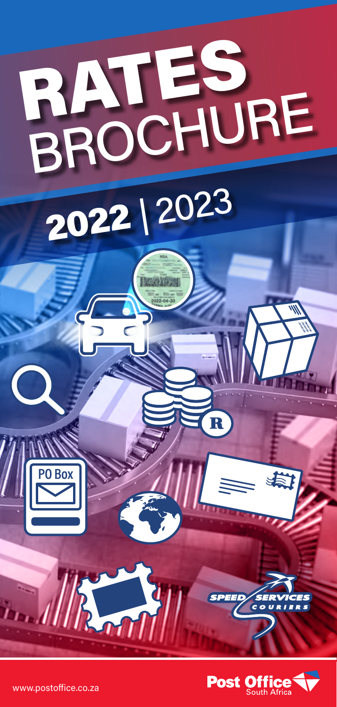

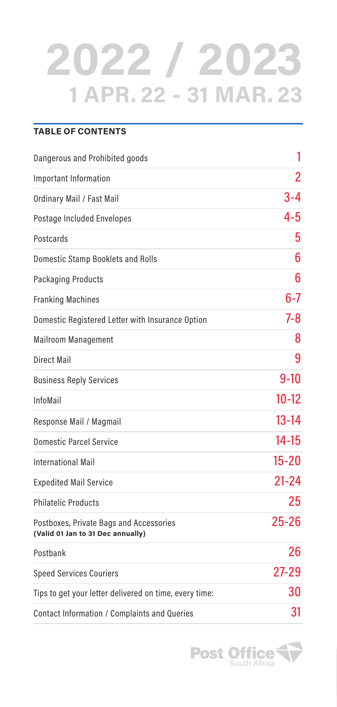## **2022 / 2023 1 APR. 22 - 31 MAR. 23**

| <b>TABLE OF CONTENTS</b>                                                     |                |
|------------------------------------------------------------------------------|----------------|
| Dangerous and Prohibited goods                                               | 1              |
| Important Information                                                        | $\overline{2}$ |
| Ordinary Mail / Fast Mail                                                    | $3 - 4$        |
| Postage Included Envelopes                                                   | 4-5            |
| Postcards                                                                    | 5              |
| Domestic Stamp Booklets and Rolls                                            | 6              |
| Packaging Products                                                           | 6              |
| <b>Franking Machines</b>                                                     | $6 - 7$        |
| Domestic Registered Letter with Insurance Option                             | $7 - 8$        |
| <b>Mailroom Management</b>                                                   | 8              |
| Direct Mail                                                                  | 9              |
| <b>Business Reply Services</b>                                               | $9-10$         |
| InfoMail                                                                     | $10 - 12$      |
| Response Mail / Magmail                                                      | $13 - 14$      |
| <b>Domestic Parcel Service</b>                                               | $14 - 15$      |
| <b>International Mail</b>                                                    | $15 - 20$      |
| <b>Expedited Mail Service</b>                                                | $21 - 24$      |
| <b>Philatelic Products</b>                                                   | 25             |
| Postboxes, Private Bags and Accessories<br>(Valid 01 Jan to 31 Dec annually) | $25 - 26$      |
| Postbank                                                                     | 26             |
| <b>Speed Services Couriers</b>                                               | $27 - 29$      |
| Tips to get your letter delivered on time, every time:                       | 30             |
| Contact Information / Complaints and Queries                                 | 31             |

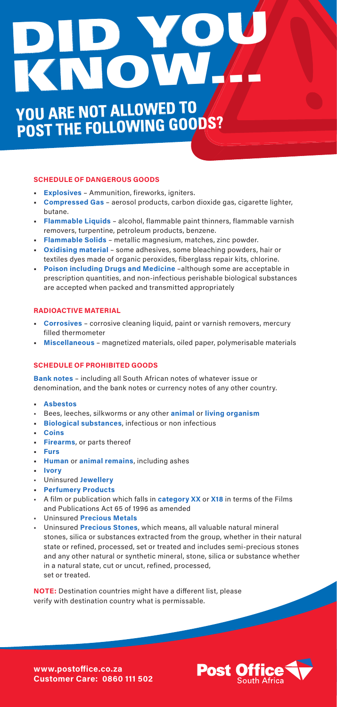# KNOW, DID YOU

## **YOU ARE NOT ALLOWED TO POST THE FOLLOWING GOODS?**

#### **SCHEDULE OF DANGEROUS GOODS**

- **• Explosives** Ammunition, fireworks, igniters.
- **• Compressed Gas** aerosol products, carbon dioxide gas, cigarette lighter, butane.
- **• Flammable Liquids** alcohol, flammable paint thinners, flammable varnish removers, turpentine, petroleum products, benzene.
- **• Flammable Solids** metallic magnesium, matches, zinc powder.
- **• Oxidising material** some adhesives, some bleaching powders, hair or textiles dyes made of organic peroxides, fiberglass repair kits, chlorine.
- **• Poison including Drugs and Medicine** –although some are acceptable in prescription quantities, and non-infectious perishable biological substances are accepted when packed and transmitted appropriately

#### **RADIOACTIVE MATERIAL**

- **• Corrosives** corrosive cleaning liquid, paint or varnish removers, mercury filled thermometer
- **• Miscellaneous** magnetized materials, oiled paper, polymerisable materials

#### **SCHEDULE OF PROHIBITED GOODS**

**Bank notes** – including all South African notes of whatever issue or denomination, and the bank notes or currency notes of any other country.

- **• Asbestos**
- Bees, leeches, silkworms or any other **animal** or **living organism**
- **• Biological substances**, infectious or non infectious
- **• Coins**
- **• Firearms**, or parts thereof
- **• Furs**
- **• Human** or **animal remains**, including ashes
- **• Ivory**
- Uninsured **Jewellery**
- **• Perfumery Products**
- A film or publication which falls in **category XX** or **X18** in terms of the Films and Publications Act 65 of 1996 as amended
- Uninsured **Precious Metals**
- Uninsured **Precious Stones**, which means, all valuable natural mineral stones, silica or substances extracted from the group, whether in their natural state or refined, processed, set or treated and includes semi-precious stones and any other natural or synthetic mineral, stone, silica or substance whether in a natural state, cut or uncut, refined, processed, set or treated.

**NOTE:** Destination countries might have a different list, please verify with destination country what is permissable.



**www.postoffice.co.za Customer Care: 0860 111 502**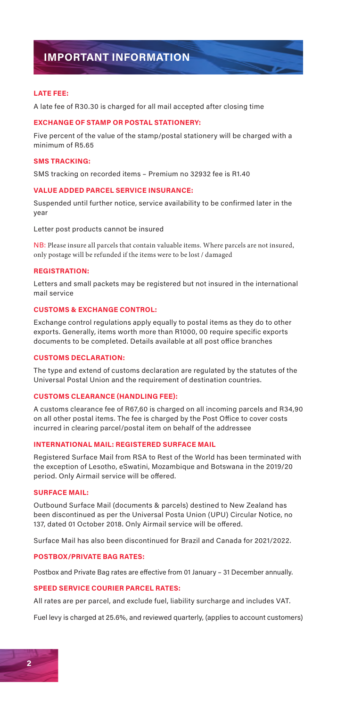## **IMPORTANT INFORMATION**

#### **LATE FEE:**

A late fee of R30.30 is charged for all mail accepted after closing time

#### **EXCHANGE OF STAMP OR POSTAL STATIONERY:**

Five percent of the value of the stamp/postal stationery will be charged with a minimum of R5.65

#### **SMS TRACKING:**

SMS tracking on recorded items – Premium no 32932 fee is R1.40

#### **VALUE ADDED PARCEL SERVICE INSURANCE:**

Suspended until further notice, service availability to be confirmed later in the year

Letter post products cannot be insured

NB: Please insure all parcels that contain valuable items. Where parcels are not insured, only postage will be refunded if the items were to be lost / damaged

#### **REGISTRATION:**

Letters and small packets may be registered but not insured in the international mail service

#### **CUSTOMS & EXCHANGE CONTROL:**

Exchange control regulations apply equally to postal items as they do to other exports. Generally, items worth more than R1000, 00 require specific exports documents to be completed. Details available at all post office branches

#### **CUSTOMS DECLARATION:**

The type and extend of customs declaration are regulated by the statutes of the Universal Postal Union and the requirement of destination countries.

#### **CUSTOMS CLEARANCE (HANDLING FEE):**

A customs clearance fee of R67,60 is charged on all incoming parcels and R34,90 on all other postal items. The fee is charged by the Post Office to cover costs incurred in clearing parcel/postal item on behalf of the addressee

#### **INTERNATIONAL MAIL: REGISTERED SURFACE MAIL**

Registered Surface Mail from RSA to Rest of the World has been terminated with the exception of Lesotho, eSwatini, Mozambique and Botswana in the 2019/20 period. Only Airmail service will be offered.

#### **SURFACE MAIL:**

Outbound Surface Mail (documents & parcels) destined to New Zealand has been discontinued as per the Universal Posta Union (UPU) Circular Notice, no 137, dated 01 October 2018. Only Airmail service will be offered.

Surface Mail has also been discontinued for Brazil and Canada for 2021/2022.

#### **POSTBOX/PRIVATE BAG RATES:**

Postbox and Private Bag rates are effective from 01 January – 31 December annually.

#### **SPEED SERVICE COURIER PARCEL RATES:**

All rates are per parcel, and exclude fuel, liability surcharge and includes VAT.

Fuel levy is charged at 25.6%, and reviewed quarterly, (applies to account customers)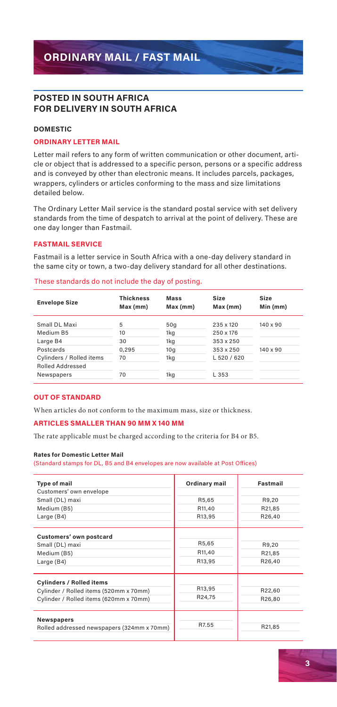#### **POSTED IN SOUTH AFRICA FOR DELIVERY IN SOUTH AFRICA**

#### **DOMESTIC**

#### **ORDINARY LETTER MAIL**

Letter mail refers to any form of written communication or other document, article or object that is addressed to a specific person, persons or a specific address and is conveyed by other than electronic means. It includes parcels, packages, wrappers, cylinders or articles conforming to the mass and size limitations detailed below.

The Ordinary Letter Mail service is the standard postal service with set delivery standards from the time of despatch to arrival at the point of delivery. These are one day longer than Fastmail.

#### **FASTMAIL SERVICE**

Fastmail is a letter service in South Africa with a one-day delivery standard in the same city or town, a two-day delivery standard for all other destinations.

#### These standards do not include the day of posting.

| <b>Envelope Size</b>                                | <b>Thickness</b><br>Max (mm) | <b>Mass</b><br>Max (mm) | Size<br>Max (mm) | Size<br>Min (mm) |
|-----------------------------------------------------|------------------------------|-------------------------|------------------|------------------|
| Small DL Maxi                                       | 5                            | 50q                     | 235 x 120        | $140 \times 90$  |
| Medium B5                                           | 10                           | 1kg                     | 250 x 176        |                  |
| Large B4                                            | 30                           | 1kg                     | 353 x 250        |                  |
| Postcards                                           | 0.295                        | 10q                     | 353 x 250        | $140 \times 90$  |
| Cylinders / Rolled items<br><b>Rolled Addressed</b> | 70                           | 1kg                     | L 520 / 620      |                  |
| Newspapers                                          | 70                           | 1kg                     | L 353            |                  |

#### **OUT OF STANDARD**

When articles do not conform to the maximum mass, size or thickness.

#### **ARTICLES SMALLER THAN 90 MM X 140 MM**

The rate applicable must be charged according to the criteria for B4 or B5.

#### **Rates for Domestic Letter Mail**

(Standard stamps for DL, B5 and B4 envelopes are now available at Post Offices)

| <b>Type of mail</b><br>Customers' own envelope                                                                      | Ordinary mail             | Fastmail                  |
|---------------------------------------------------------------------------------------------------------------------|---------------------------|---------------------------|
| Small (DL) maxi<br>Medium (B5)<br>Large (B4)                                                                        | R5,65<br>R11.40<br>R13,95 | R9,20<br>R21,85<br>R26.40 |
| Customers' own postcard<br>Small (DL) maxi<br>Medium (B5)<br>Large (B4)                                             | R5,65<br>R11,40<br>R13.95 | R9.20<br>R21,85<br>R26.40 |
| <b>Cylinders / Rolled items</b><br>Cylinder / Rolled items (520mm x 70mm)<br>Cylinder / Rolled items (620mm x 70mm) | R13.95<br>R24,75          | R22,60<br>R26,80          |
| <b>Newspapers</b><br>Rolled addressed newspapers (324mm x 70mm)                                                     | R7.55                     | R21,85                    |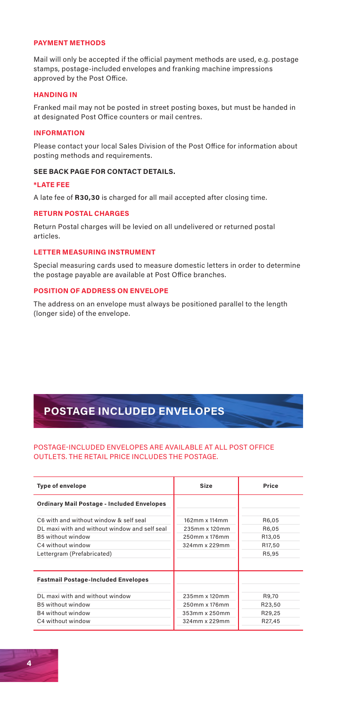#### **PAYMENT METHODS**

Mail will only be accepted if the official payment methods are used, e.g. postage stamps, postage-included envelopes and franking machine impressions approved by the Post Office.

#### **HANDING IN**

Franked mail may not be posted in street posting boxes, but must be handed in at designated Post Office counters or mail centres.

#### **INFORMATION**

Please contact your local Sales Division of the Post Office for information about posting methods and requirements.

#### **SEE BACK PAGE FOR CONTACT DETAILS.**

#### **\*LATE FEE**

A late fee of **R30,30** is charged for all mail accepted after closing time.

#### **RETURN POSTAL CHARGES**

Return Postal charges will be levied on all undelivered or returned postal articles.

#### **LETTER MEASURING INSTRUMENT**

Special measuring cards used to measure domestic letters in order to determine the postage payable are available at Post Office branches.

#### **POSITION OF ADDRESS ON ENVELOPE**

The address on an envelope must always be positioned parallel to the length (longer side) of the envelope.

## **POSTAGE INCLUDED ENVELOPES**

#### POSTAGE-INCLUDED ENVELOPES ARE AVAILABLE AT ALL POST OFFICE OUTLETS. THE RETAIL PRICE INCLUDES THE POSTAGE.

| <b>Type of envelope</b>                                                                                                                                         | Size                                                             | Price                                       |
|-----------------------------------------------------------------------------------------------------------------------------------------------------------------|------------------------------------------------------------------|---------------------------------------------|
| <b>Ordinary Mail Postage - Included Envelopes</b>                                                                                                               |                                                                  |                                             |
| C6 with and without window & self seal<br>DL maxi with and without window and self seal<br>B5 without window<br>C4 without window<br>Lettergram (Prefabricated) | 162mm x 114mm<br>235mm x 120mm<br>250mm x 176mm<br>324mm x 229mm | R6.05<br>R6.05<br>R13.05<br>R17.50<br>R5.95 |
| <b>Fastmail Postage-Included Envelopes</b>                                                                                                                      |                                                                  |                                             |
| DL maxi with and without window<br>B5 without window<br>B4 without window<br>C4 without window                                                                  | 235mm x 120mm<br>250mm x 176mm<br>353mm x 250mm<br>324mm x 229mm | R9.70<br>R23.50<br>R29.25<br>R27.45         |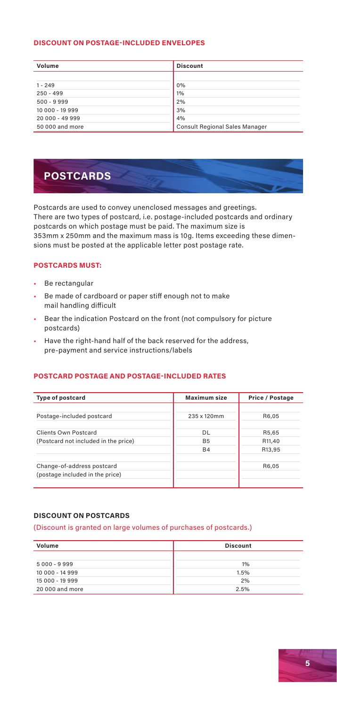#### **DISCOUNT ON POSTAGE-INCLUDED ENVELOPES**

| Volume          | <b>Discount</b>                       |
|-----------------|---------------------------------------|
|                 |                                       |
| $1 - 249$       | 0%                                    |
| $250 - 499$     | 1%                                    |
| $500 - 9999$    | 2%                                    |
| 10 000 - 19 999 | 3%                                    |
| 20 000 - 49 999 | 4%                                    |
| 50 000 and more | <b>Consult Regional Sales Manager</b> |

## **POSTCARDS**

Postcards are used to convey unenclosed messages and greetings. There are two types of postcard, i.e. postage-included postcards and ordinary postcards on which postage must be paid. The maximum size is 353mm x 250mm and the maximum mass is 10g. Items exceeding these dimensions must be posted at the applicable letter post postage rate.

#### **POSTCARDS MUST:**

- Be rectangular
- Be made of cardboard or paper stiff enough not to make mail handling difficult
- Bear the indication Postcard on the front (not compulsory for picture postcards)
- Have the right-hand half of the back reserved for the address, pre-payment and service instructions/labels

#### **POSTCARD POSTAGE AND POSTAGE-INCLUDED RATES**

| <b>Type of postcard</b>              | <b>Maximum size</b> | Price / Postage |
|--------------------------------------|---------------------|-----------------|
|                                      |                     |                 |
|                                      |                     |                 |
| Postage-included postcard            | 235 x 120mm         | R6.05           |
|                                      |                     |                 |
| Clients Own Postcard                 | DI.                 | R5.65           |
| (Postcard not included in the price) | <b>B5</b>           | R11,40          |
|                                      | <b>B4</b>           | R13,95          |
|                                      |                     |                 |
| Change-of-address postcard           |                     | R6,05           |
| (postage included in the price)      |                     |                 |
|                                      |                     |                 |

#### **DISCOUNT ON POSTCARDS**

#### (Discount is granted on large volumes of purchases of postcards.)

| Volume          | <b>Discount</b> |
|-----------------|-----------------|
|                 |                 |
| 5000 - 9999     | 1%              |
| 10 000 - 14 999 | 1.5%            |
| 15 000 - 19 999 | 2%              |
| 20 000 and more | 2.5%            |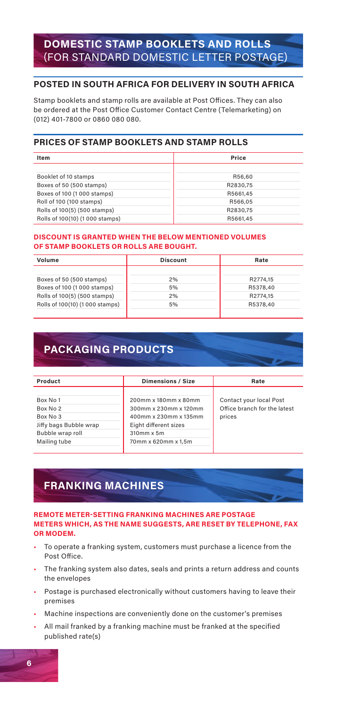## **DOMESTIC STAMP BOOKLETS AND ROLLS** (FOR STANDARD DOMESTIC LETTER POSTAGE)

#### **POSTED IN SOUTH AFRICA FOR DELIVERY IN SOUTH AFRICA**

Stamp booklets and stamp rolls are available at Post Offices. They can also be ordered at the Post Office Customer Contact Centre (Telemarketing) on (012) 401-7800 or 0860 080 080.

#### **PRICES OF STAMP BOOKLETS AND STAMP ROLLS**

| Item                            | Price    |
|---------------------------------|----------|
|                                 |          |
| Booklet of 10 stamps            | R56.60   |
| Boxes of 50 (500 stamps)        | R2830.75 |
| Boxes of 100 (1000 stamps)      | R5661.45 |
| Roll of 100 (100 stamps)        | R566.05  |
| Rolls of 100(5) (500 stamps)    | R2830.75 |
| Rolls of 100(10) (1 000 stamps) | R5661.45 |

#### **DISCOUNT IS GRANTED WHEN THE BELOW MENTIONED VOLUMES OF STAMP BOOKLETS OR ROLLS ARE BOUGHT.**

| Volume                         | <b>Discount</b> | Rate     |
|--------------------------------|-----------------|----------|
|                                |                 |          |
| Boxes of 50 (500 stamps)       | 2%              | R2774.15 |
| Boxes of 100 (1000 stamps)     | 5%              | R5378.40 |
| Rolls of 100(5) (500 stamps)   | 2%              | R2774.15 |
| Rolls of 100(10) (1000 stamps) | 5%              | R5378.40 |
|                                |                 |          |

## **PACKAGING PRODUCTS**

| Product                                                                        | <b>Dimensions / Size</b>                                                                                      | Rate                                                              |
|--------------------------------------------------------------------------------|---------------------------------------------------------------------------------------------------------------|-------------------------------------------------------------------|
| Box No 1<br>Box No 2<br>Box No 3<br>Jiffy bags Bubble wrap<br>Bubble wrap roll | 200mm x 180mm x 80mm<br>300mm x 230mm x 120mm<br>400mm x 230mm x 135mm<br>Eight different sizes<br>310mm x 5m | Contact your local Post<br>Office branch for the latest<br>prices |
| Mailing tube                                                                   | 70mm x 620mm x 1.5m                                                                                           |                                                                   |

## **FRANKING MACHINES**

#### **REMOTE METER-SETTING FRANKING MACHINES ARE POSTAGE METERS WHICH, AS THE NAME SUGGESTS, ARE RESET BY TELEPHONE, FAX OR MODEM.**

- To operate a franking system, customers must purchase a licence from the Post Office.
- The franking system also dates, seals and prints a return address and counts the envelopes
- Postage is purchased electronically without customers having to leave their premises
- Machine inspections are conveniently done on the customer's premises
- All mail franked by a franking machine must be franked at the specified published rate(s)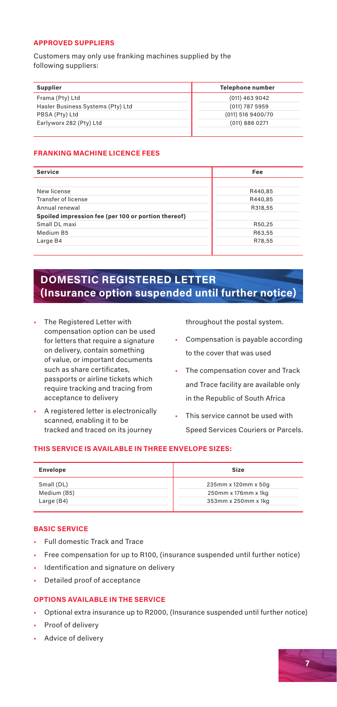#### **APPROVED SUPPLIERS**

Customers may only use franking machines supplied by the following suppliers:

| Supplier                          | <b>Telephone number</b> |
|-----------------------------------|-------------------------|
| Frama (Pty) Ltd                   | (011) 463 9042          |
| Hasler Business Systems (Pty) Ltd | (011) 787 5959          |
| PBSA (Pty) Ltd                    | (011) 516 9400/70       |
| Earlyworx 282 (Pty) Ltd           | (011) 886 0271          |
|                                   |                         |

#### **FRANKING MACHINE LICENCE FEES**

| <b>Service</b>                                      | Fee     |
|-----------------------------------------------------|---------|
|                                                     |         |
| New license                                         | R440.85 |
| Transfer of license                                 | R440.85 |
| Annual renewal                                      | R318,55 |
| Spoiled impression fee (per 100 or portion thereof) |         |
| Small DL maxi                                       | R50,25  |
| Medium B5                                           | R63,55  |
| Large B4                                            | R78,55  |

## **DOMESTIC REGISTERED LETTER (Insurance option suspended until further notice)**

- The Registered Letter with compensation option can be used for letters that require a signature on delivery, contain something of value, or important documents such as share certificates, passports or airline tickets which require tracking and tracing from acceptance to delivery
- A registered letter is electronically scanned, enabling it to be tracked and traced on its journey

throughout the postal system.

- Compensation is payable according to the cover that was used
- The compensation cover and Track and Trace facility are available only in the Republic of South Africa
- This service cannot be used with Speed Services Couriers or Parcels.

#### **THIS SERVICE IS AVAILABLE IN THREE ENVELOPE SIZES:**

| Envelope    | Size                |
|-------------|---------------------|
| Small (DL)  | 235mm x 120mm x 50g |
| Medium (B5) | 250mm x 176mm x 1kg |
| Large (B4)  | 353mm x 250mm x 1kg |

#### **BASIC SERVICE**

- Full domestic Track and Trace
- Free compensation for up to R100, (insurance suspended until further notice)
- Identification and signature on delivery
- Detailed proof of acceptance

#### **OPTIONS AVAILABLE IN THE SERVICE**

- Optional extra insurance up to R2000, (Insurance suspended until further notice)
- Proof of delivery
- Advice of delivery

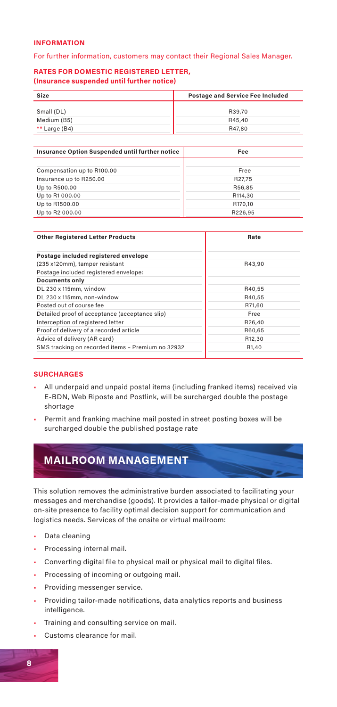#### **INFORMATION**

#### For further information, customers may contact their Regional Sales Manager.

#### **RATES FOR DOMESTIC REGISTERED LETTER, (Insurance suspended until further notice)**

| R39.70<br>Small (DL)<br>Medium (B5)<br>R45.40 | Size | <b>Postage and Service Fee Included</b> |  |  |
|-----------------------------------------------|------|-----------------------------------------|--|--|
|                                               |      |                                         |  |  |
|                                               |      |                                         |  |  |
|                                               |      |                                         |  |  |
| ** Large (B4)<br>R47.80                       |      |                                         |  |  |

| Insurance Option Suspended until further notice | Fee     |
|-------------------------------------------------|---------|
|                                                 |         |
| Compensation up to R100.00                      | Free    |
| Insurance up to R250.00                         | R27.75  |
| Up to R500.00                                   | R56.85  |
| Up to R1 000.00                                 | R114.30 |
| Up to R1500.00                                  | R170.10 |
| Up to R2 000.00                                 | R226.95 |

| <b>Other Registered Letter Products</b>           | Rate   |  |
|---------------------------------------------------|--------|--|
|                                                   |        |  |
| Postage included registered envelope              |        |  |
| (235 x120mm), tamper resistant                    | R43.90 |  |
| Postage included registered envelope:             |        |  |
| <b>Documents only</b>                             |        |  |
| DL 230 x 115mm, window                            | R40.55 |  |
| DL 230 x 115mm, non-window                        | R40.55 |  |
| Posted out of course fee                          | R71.60 |  |
| Detailed proof of acceptance (acceptance slip)    | Free   |  |
| Interception of registered letter                 | R26.40 |  |
| Proof of delivery of a recorded article           | R60.65 |  |
| Advice of delivery (AR card)                      | R12.30 |  |
| SMS tracking on recorded items - Premium no 32932 | R1.40  |  |
|                                                   |        |  |

#### **SURCHARGES**

- All underpaid and unpaid postal items (including franked items) received via E-BDN, Web Riposte and Postlink, will be surcharged double the postage shortage
- Permit and franking machine mail posted in street posting boxes will be surcharged double the published postage rate

## **MAILROOM MANAGEMENT**

This solution removes the administrative burden associated to facilitating your messages and merchandise (goods). It provides a tailor-made physical or digital on-site presence to facility optimal decision support for communication and logistics needs. Services of the onsite or virtual mailroom:

- Data cleaning
- Processing internal mail.
- Converting digital file to physical mail or physical mail to digital files.
- Processing of incoming or outgoing mail.
- Providing messenger service.
- Providing tailor-made notifications, data analytics reports and business intelligence.
- Training and consulting service on mail.
- Customs clearance for mail.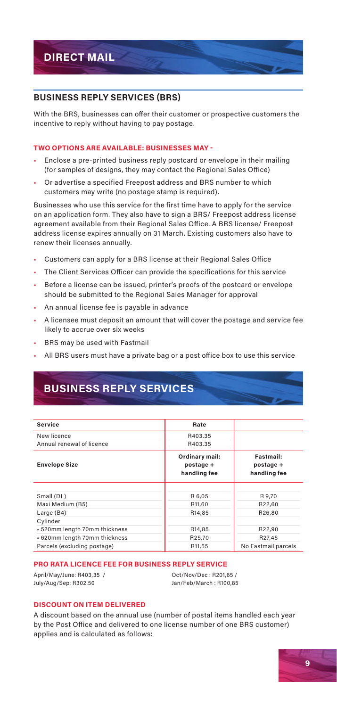#### **BUSINESS REPLY SERVICES (BRS)**

With the BRS, businesses can offer their customer or prospective customers the incentive to reply without having to pay postage.

#### **TWO OPTIONS ARE AVAILABLE: BUSINESSES MAY -**

- Enclose a pre-printed business reply postcard or envelope in their mailing (for samples of designs, they may contact the Regional Sales Office)
- Or advertise a specified Freepost address and BRS number to which customers may write (no postage stamp is required).

Businesses who use this service for the first time have to apply for the service on an application form. They also have to sign a BRS/ Freepost address license agreement available from their Regional Sales Office. A BRS license/ Freepost address license expires annually on 31 March. Existing customers also have to renew their licenses annually.

- Customers can apply for a BRS license at their Regional Sales Office
- The Client Services Officer can provide the specifications for this service
- Before a license can be issued, printer's proofs of the postcard or envelope should be submitted to the Regional Sales Manager for approval
- An annual license fee is payable in advance
- A licensee must deposit an amount that will cover the postage and service fee likely to accrue over six weeks
- BRS may be used with Fastmail
- All BRS users must have a private bag or a post office box to use this service

## **BUSINESS REPLY SERVICES**

| Service                       | Rate                                        |                                        |
|-------------------------------|---------------------------------------------|----------------------------------------|
| New licence                   | R403.35                                     |                                        |
| Annual renewal of licence     | R403.35                                     |                                        |
| <b>Envelope Size</b>          | Ordinary mail:<br>postage +<br>handling fee | Fastmail:<br>postage +<br>handling fee |
|                               |                                             |                                        |
| Small (DL)                    | R 6,05                                      | R 9.70                                 |
| Maxi Medium (B5)              | R11.60                                      | R22.60                                 |
| Large (B4)                    | R14.85                                      | R26.80                                 |
| Cylinder                      |                                             |                                        |
| - 520mm length 70mm thickness | R14.85                                      | R22.90                                 |
| - 620mm length 70mm thickness | R25.70                                      | R27.45                                 |
| Parcels (excluding postage)   | R11.55                                      | No Fastmail parcels                    |

#### **PRO RATA LICENCE FEE FOR BUSINESS REPLY SERVICE**

April/May/June: R403,35 / July/Aug/Sep: R302.50

Oct/Nov/Dec : R201,65 / Jan/Feb/March : R100,85

#### **DISCOUNT ON ITEM DELIVERED**

A discount based on the annual use (number of postal items handled each year by the Post Office and delivered to one license number of one BRS customer) applies and is calculated as follows:

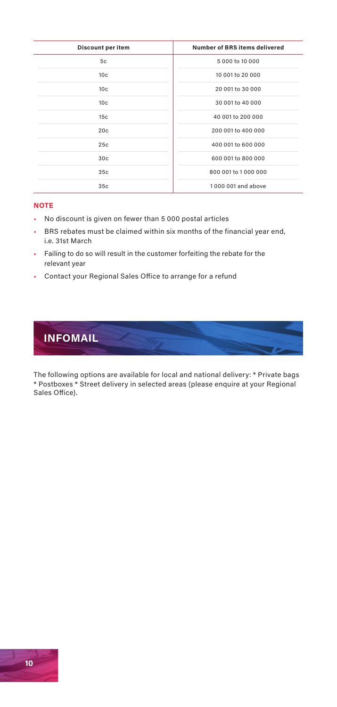| Discount per item | Number of BRS items delivered |
|-------------------|-------------------------------|
| 5c                | 5 000 to 10 000               |
| 10 <sub>c</sub>   | 10 001 to 20 000              |
| 10 <sub>c</sub>   | 20 001 to 30 000              |
| 10c               | 30 001 to 40 000              |
| 15 <sub>c</sub>   | 40 001 to 200 000             |
| 20c               | 200 001 to 400 000            |
| 25c               | 400 001 to 600 000            |
| 30c               | 600 001 to 800 000            |
| 35c               | 800 001 to 1 000 000          |
| 35 <sub>c</sub>   | 1,000,001 and above           |

#### **NOTE**

- No discount is given on fewer than 5 000 postal articles
- BRS rebates must be claimed within six months of the financial year end, i.e. 31st March
- Failing to do so will result in the customer forfeiting the rebate for the relevant year
- Contact your Regional Sales Office to arrange for a refund



The following options are available for local and national delivery: \* Private bags \* Postboxes \* Street delivery in selected areas (please enquire at your Regional Sales Office).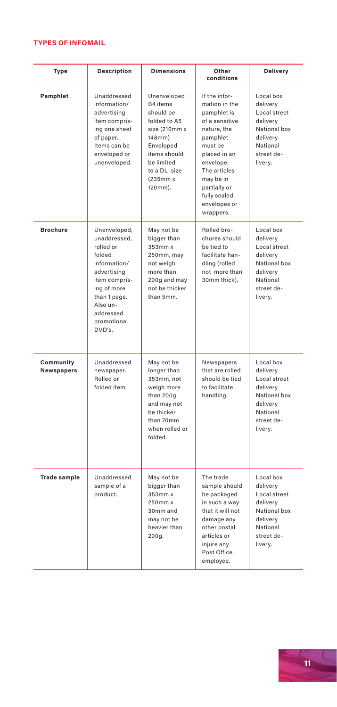#### **TYPES OF INFOMAIL**

| <b>Type</b>                    | <b>Description</b>                                                                                                                                                                   | <b>Dimensions</b>                                                                                                                                                       | Other<br>conditions                                                                                                                                                                                                          | <b>Delivery</b>                                                                                                    |
|--------------------------------|--------------------------------------------------------------------------------------------------------------------------------------------------------------------------------------|-------------------------------------------------------------------------------------------------------------------------------------------------------------------------|------------------------------------------------------------------------------------------------------------------------------------------------------------------------------------------------------------------------------|--------------------------------------------------------------------------------------------------------------------|
| Pamphlet                       | Unaddressed<br>information/<br>advertising<br>item compris-<br>ing one sheet<br>of paper.<br>Items can be<br>enveloped or<br>unenveloped.                                            | Unenveloped<br>B4 items<br>should be<br>folded to A5<br>size (210mm x<br>$148$ mm $)$<br>Enveloped<br>items should<br>be limited<br>to a DL size<br>(235mm)x<br>120mm). | If the infor-<br>mation in the<br>pamphlet is<br>of a sensitive<br>nature, the<br>pamphlet<br>must be<br>placed in an<br>envelope.<br>The articles<br>may be in<br>partially or<br>fully sealed<br>envelopes or<br>wrappers. | Local box<br>delivery<br>Local street<br>delivery<br>National box<br>delivery<br>National<br>street de-<br>livery. |
| <b>Brochure</b>                | Unenveloped,<br>unaddressed.<br>rolled or<br>folded<br>information/<br>advertising<br>item compris-<br>ing of more<br>than 1 page.<br>Also un-<br>addressed<br>promotional<br>DVD's. | May not be<br>bigger than<br>353mm x<br>250mm, may<br>not weigh<br>more than<br>200g and may<br>not be thicker<br>than 5mm.                                             | Rolled bro-<br>chures should<br>be tied to<br>facilitate han-<br>dling (rolled<br>not more than<br>30mm thick).                                                                                                              | Local box<br>delivery<br>Local street<br>delivery<br>National box<br>delivery<br>National<br>street de-<br>livery. |
| Community<br><b>Newspapers</b> | Unaddressed<br>newspaper.<br>Rolled or<br>folded item                                                                                                                                | May not be<br>longer than<br>353mm, not<br>weigh more<br>than 200g<br>and may not<br>be thicker<br>than 70mm<br>when rolled or<br>folded.                               | Newspapers<br>that are rolled<br>should be tied<br>to facilitate<br>handling.                                                                                                                                                | Local box<br>delivery<br>Local street<br>delivery<br>National box<br>delivery<br>National<br>street de-<br>livery. |
| <b>Trade sample</b>            | Unaddressed<br>sample of a<br>product.                                                                                                                                               | May not be<br>bigger than<br>353mm x<br>250mm x<br>30mm and<br>may not be<br>heavier than<br>200g.                                                                      | The trade<br>sample should<br>be packaged<br>in such a way<br>that it will not<br>damage any<br>other postal<br>articles or<br>injure any<br>Post Office<br>employee.                                                        | Local box<br>delivery<br>Local street<br>delivery<br>National box<br>delivery<br>National<br>street de-<br>livery. |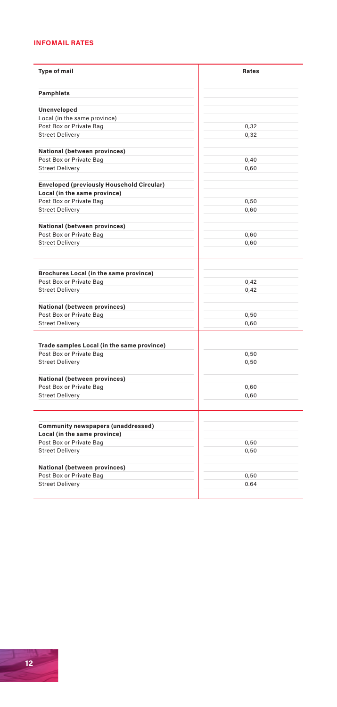#### **INFOMAIL RATES**

| <b>Type of mail</b>                              | <b>Rates</b> |  |
|--------------------------------------------------|--------------|--|
| <b>Pamphlets</b>                                 |              |  |
|                                                  |              |  |
| Unenveloped                                      |              |  |
| Local (in the same province)                     |              |  |
| Post Box or Private Bag                          | 0.32         |  |
| <b>Street Delivery</b>                           | 0,32         |  |
| National (between provinces)                     |              |  |
| Post Box or Private Bag                          | 0,40         |  |
| <b>Street Delivery</b>                           | 0,60         |  |
| <b>Enveloped (previously Household Circular)</b> |              |  |
| Local (in the same province)                     |              |  |
| Post Box or Private Bag                          | 0.50         |  |
| <b>Street Delivery</b>                           | 0,60         |  |
| National (between provinces)                     |              |  |
| Post Box or Private Bag                          | 0.60         |  |
| <b>Street Delivery</b>                           | 0,60         |  |
|                                                  |              |  |
| Brochures Local (in the same province)           |              |  |
| Post Box or Private Bag                          | 0,42         |  |
| <b>Street Delivery</b>                           | 0,42         |  |
| <b>National (between provinces)</b>              |              |  |
| Post Box or Private Bag                          | 0,50         |  |
| <b>Street Delivery</b>                           | 0,60         |  |
| Trade samples Local (in the same province)       |              |  |
| Post Box or Private Bag                          | 0,50         |  |
| <b>Street Delivery</b>                           | 0,50         |  |
|                                                  |              |  |
| National (between provinces)                     |              |  |
| Post Box or Private Bag                          | 0,60         |  |
| <b>Street Delivery</b>                           | 0.60         |  |
| Community newspapers (unaddressed)               |              |  |
| Local (in the same province)                     |              |  |
| Post Box or Private Bag                          | 0,50         |  |
| <b>Street Delivery</b>                           | 0,50         |  |
| National (between provinces)                     |              |  |
| Post Box or Private Bag                          | 0.50         |  |
|                                                  |              |  |
| <b>Street Delivery</b>                           | 0.64         |  |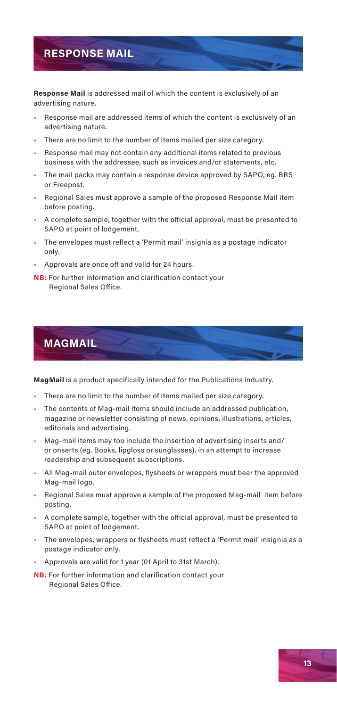## **RESPONSE MAIL**

**Response Mail** is addressed mail of which the content is exclusively of an advertising nature.

- Response mail are addressed items of which the content is exclusively of an advertising nature.
- There are no limit to the number of items mailed per size category.
- Response mail may not contain any additional items related to previous business with the addressee, such as invoices and/or statements, etc.
- The mail packs may contain a response device approved by SAPO, eg. BRS or Freepost.
- Regional Sales must approve a sample of the proposed Response Mail item before posting.
- A complete sample, together with the official approval, must be presented to SAPO at point of lodgement.
- The envelopes must reflect a 'Permit mail' insignia as a postage indicator only.
- Approvals are once off and valid for 24 hours.
- **NB:** For further information and clarification contact your Regional Sales Office.

## **MAGMAIL**

**MagMail** is a product specifically intended for the Publications industry.

- There are no limit to the number of items mailed per size category.
- The contents of Mag-mail items should include an addressed publication, magazine or newsletter consisting of news, opinions, illustrations, articles, editorials and advertising.
- Mag-mail items may too include the insertion of advertising inserts and/ or onserts (eg. Books, lipgloss or sunglasses), in an attempt to increase readership and subsequent subscriptions.
- All Mag-mail outer envelopes, flysheets or wrappers must bear the approved Mag-mail logo.
- Regional Sales must approve a sample of the proposed Mag-mail item before posting.
- A complete sample, together with the official approval, must be presented to SAPO at point of lodgement.
- The envelopes, wrappers or flysheets must reflect a 'Permit mail' insignia as a postage indicator only.
- Approvals are valid for 1 year (01 April to 31st March).
- **NB:** For further information and clarification contact your Regional Sales Office.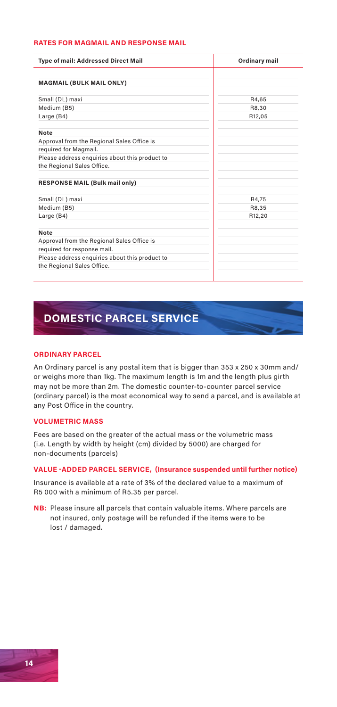#### **RATES FOR MAGMAIL AND RESPONSE MAIL**

| <b>Type of mail: Addressed Direct Mail</b>     | Ordinary mail |
|------------------------------------------------|---------------|
|                                                |               |
| <b>MAGMAIL (BULK MAIL ONLY)</b>                |               |
|                                                |               |
| Small (DL) maxi                                | R4.65         |
| Medium (B5)                                    | R8.30         |
| Large (B4)                                     | R12,05        |
|                                                |               |
| Note                                           |               |
| Approval from the Regional Sales Office is     |               |
| required for Magmail.                          |               |
| Please address enquiries about this product to |               |
| the Regional Sales Office.                     |               |
|                                                |               |
| <b>RESPONSE MAIL (Bulk mail only)</b>          |               |
|                                                |               |
| Small (DL) maxi                                | R4.75         |
| Medium (B5)                                    | R8,35         |
| Large (B4)                                     | R12,20        |
|                                                |               |
| Note                                           |               |
| Approval from the Regional Sales Office is     |               |
| required for response mail.                    |               |
| Please address enquiries about this product to |               |
| the Regional Sales Office.                     |               |
|                                                |               |

## **DOMESTIC PARCEL SERVICE**

#### **ORDINARY PARCEL**

An Ordinary parcel is any postal item that is bigger than 353 x 250 x 30mm and/ or weighs more than 1kg. The maximum length is 1m and the length plus girth may not be more than 2m. The domestic counter-to-counter parcel service (ordinary parcel) is the most economical way to send a parcel, and is available at any Post Office in the country.

#### **VOLUMETRIC MASS**

Fees are based on the greater of the actual mass or the volumetric mass (i.e. Length by width by height (cm) divided by 5000) are charged for non-documents (parcels)

#### **VALUE -ADDED PARCEL SERVICE, (Insurance suspended until further notice)**

Insurance is available at a rate of 3% of the declared value to a maximum of R5 000 with a minimum of R5.35 per parcel.

**NB:** Please insure all parcels that contain valuable items. Where parcels are not insured, only postage will be refunded if the items were to be lost / damaged.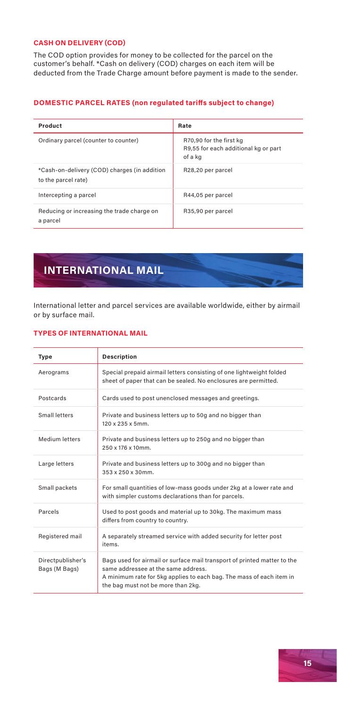#### **CASH ON DELIVERY (COD)**

The COD option provides for money to be collected for the parcel on the customer's behalf. \*Cash on delivery (COD) charges on each item will be deducted from the Trade Charge amount before payment is made to the sender.

#### **DOMESTIC PARCEL RATES (non regulated tariffs subject to change)**

| Product                                                             | Rate                                                                       |
|---------------------------------------------------------------------|----------------------------------------------------------------------------|
| Ordinary parcel (counter to counter)                                | R70,90 for the first kg<br>R9,55 for each additional kg or part<br>of a kg |
| *Cash-on-delivery (COD) charges (in addition<br>to the parcel rate) | R28,20 per parcel                                                          |
| Intercepting a parcel                                               | R44,05 per parcel                                                          |
| Reducing or increasing the trade charge on<br>a parcel              | R35,90 per parcel                                                          |

## **INTERNATIONAL MAIL**

International letter and parcel services are available worldwide, either by airmail or by surface mail.

#### **TYPES OF INTERNATIONAL MAIL**

| Type                               | <b>Description</b>                                                                                                                                                                                                            |
|------------------------------------|-------------------------------------------------------------------------------------------------------------------------------------------------------------------------------------------------------------------------------|
| Aerograms                          | Special prepaid airmail letters consisting of one lightweight folded<br>sheet of paper that can be sealed. No enclosures are permitted.                                                                                       |
| Postcards                          | Cards used to post unenclosed messages and greetings.                                                                                                                                                                         |
| Small letters                      | Private and business letters up to 50g and no bigger than<br>120 x 235 x 5mm.                                                                                                                                                 |
| Medium letters                     | Private and business letters up to 250g and no bigger than<br>250 x 176 x 10mm.                                                                                                                                               |
| Large letters                      | Private and business letters up to 300g and no bigger than<br>353 x 250 x 30mm.                                                                                                                                               |
| Small packets                      | For small quantities of low-mass goods under 2kg at a lower rate and<br>with simpler customs declarations than for parcels.                                                                                                   |
| Parcels                            | Used to post goods and material up to 30kg. The maximum mass<br>differs from country to country.                                                                                                                              |
| Registered mail                    | A separately streamed service with added security for letter post<br>items.                                                                                                                                                   |
| Directpublisher's<br>Bags (M Bags) | Bags used for airmail or surface mail transport of printed matter to the<br>same addressee at the same address.<br>A minimum rate for 5kg applies to each bag. The mass of each item in<br>the bag must not be more than 2kg. |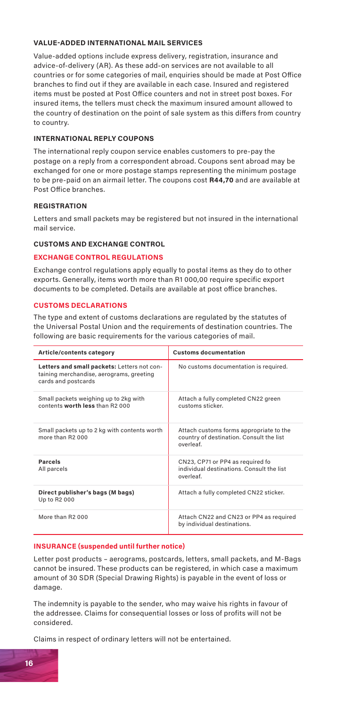#### **VALUE-ADDED INTERNATIONAL MAIL SERVICES**

Value-added options include express delivery, registration, insurance and advice-of-delivery (AR). As these add-on services are not available to all countries or for some categories of mail, enquiries should be made at Post Office branches to find out if they are available in each case. Insured and registered items must be posted at Post Office counters and not in street post boxes. For insured items, the tellers must check the maximum insured amount allowed to the country of destination on the point of sale system as this differs from country to country.

#### **INTERNATIONAL REPLY COUPONS**

The international reply coupon service enables customers to pre-pay the postage on a reply from a correspondent abroad. Coupons sent abroad may be exchanged for one or more postage stamps representing the minimum postage to be pre-paid on an airmail letter. The coupons cost **R44,70** and are available at Post Office branches.

#### **REGISTRATION**

Letters and small packets may be registered but not insured in the international mail service.

#### **CUSTOMS AND EXCHANGE CONTROL**

#### **EXCHANGE CONTROL REGULATIONS**

Exchange control regulations apply equally to postal items as they do to other exports. Generally, items worth more than R1 000,00 require specific export documents to be completed. Details are available at post office branches.

#### **CUSTOMS DECLARATIONS**

The type and extent of customs declarations are regulated by the statutes of the Universal Postal Union and the requirements of destination countries. The following are basic requirements for the various categories of mail.

| Article/contents category                                                                                      | <b>Customs documentation</b>                                                                     |
|----------------------------------------------------------------------------------------------------------------|--------------------------------------------------------------------------------------------------|
| Letters and small packets: Letters not con-<br>taining merchandise, aerograms, greeting<br>cards and postcards | No customs documentation is required.                                                            |
| Small packets weighing up to 2kg with<br>contents worth less than B2 000                                       | Attach a fully completed CN22 green<br>customs sticker.                                          |
| Small packets up to 2 kg with contents worth<br>more than B2,000                                               | Attach customs forms appropriate to the<br>country of destination. Consult the list<br>overleaf. |
| <b>Parcels</b><br>All parcels                                                                                  | CN23, CP71 or PP4 as required fo<br>individual destinations. Consult the list<br>overleaf.       |
| Direct publisher's bags (M bags)<br>Up to R2 000                                                               | Attach a fully completed CN22 sticker.                                                           |
| More than B2,000                                                                                               | Attach CN22 and CN23 or PP4 as required<br>by individual destinations.                           |

#### **INSURANCE (suspended until further notice)**

Letter post products – aerograms, postcards, letters, small packets, and M-Bags cannot be insured. These products can be registered, in which case a maximum amount of 30 SDR (Special Drawing Rights) is payable in the event of loss or damage.

The indemnity is payable to the sender, who may waive his rights in favour of the addressee. Claims for consequential losses or loss of profits will not be considered.

Claims in respect of ordinary letters will not be entertained.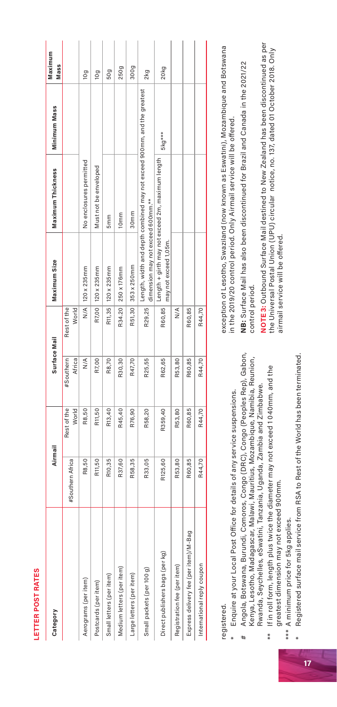| í                                                                                                                                              |  |
|------------------------------------------------------------------------------------------------------------------------------------------------|--|
|                                                                                                                                                |  |
|                                                                                                                                                |  |
| ۰<br>r                                                                                                                                         |  |
| п                                                                                                                                              |  |
| <b>Contract Contract Contract Contract Contract Contract Contract Contract Contract Contract Contract Contract C</b><br><b>Service Service</b> |  |
| ī                                                                                                                                              |  |
| ı<br>١                                                                                                                                         |  |
|                                                                                                                                                |  |
| п                                                                                                                                              |  |
| п                                                                                                                                              |  |
|                                                                                                                                                |  |
| <b>Contract Contract Contract Contract Contract Contract Contract Contract Contract Contract Contract Contract C</b>                           |  |
|                                                                                                                                                |  |
|                                                                                                                                                |  |

| Category                             | Airmail          |                      |                     | Surface Mail         | Maximum Size                      | Maximum Thickness                                                              | Minimum Mass | Maximum<br>Mass |
|--------------------------------------|------------------|----------------------|---------------------|----------------------|-----------------------------------|--------------------------------------------------------------------------------|--------------|-----------------|
|                                      | #Southern Africa | Rest of the<br>World | #Southern<br>Africa | World<br>Rest of the |                                   |                                                                                |              |                 |
| Aerograms (per item)                 | R8,50            | R8,50                | $\frac{1}{2}$       |                      | N/A 120 x 235mm                   | No enclosures permitted                                                        |              | 10g             |
| Postcards (per item)                 | R11,50           | R11,50               | R7,00               |                      | R7,00   120 x 235mm               | Must not be enveloped                                                          |              | 10g             |
| Small letters (per item)             | R10,35           | R13,40               | R8,70               |                      | R11,35   120 x 235mm              | 5 <sub>mm</sub>                                                                |              | 50g             |
| Medium letters (per item)            | R37,60           | R45,40               | R30,30              |                      | R34.20 250 x 176mm                | 10 <sub>mm</sub>                                                               |              | 250g            |
| Large letters (per item)             | R58,35           | R76,90               | R47,70              |                      | R51,30 353 x 250mm                | 30 <sub>mm</sub>                                                               |              | 300g            |
| Small packets (per 100 g)            | R33,05           | R58,20               | R25,55              |                      | dimension may not exceed 600mm.** | R29,25 Length, width and depth combined may not exceed 900mm, and the greatest |              | 2kg             |
| Direct publishers bags (per kg)      | R125,60          | R359,40              | R62,65              |                      | may not exceed 1,05m              | R60,85 Length + girth may not exceed 2m, maximum length                        | 5kg***       | 20kg            |
| Registration fee (per item)          | R53,80           | R53,80               | R53,80              | $\frac{1}{2}$        |                                   |                                                                                |              |                 |
| Express delivery fee (peritem)/M-Bag | R60,85           | R60,85               | R60,85              | R60,85               |                                   |                                                                                |              |                 |
| International reply coupon           | R44,70           | R44,70               | R44,70              | R44,70               |                                   |                                                                                |              |                 |

## registered. registered.

- Enquire at your Local Post Office for details of any service suspensions. \* Enquire at your Local Post Office for details of any service suspensions.
- # Angola, Botswana, Burundi, Comoros, Congo (DRC), Congo (Peoples Rep), Gabon, Angola, Botswana, Burundi, Comoros, Congo (DRC), Congo (Peoples Rep), Gabon, Kenya, Lesotho, Madagascar, Malawi, Mauritius, Mozambique, Namibia, Reunion, Kenya, Lesotho, Madagascar, Malawi, Mauritius, Mozambique, Namibia, Reunion, Rwanda, Seychelles, eSwatini, Tanzania, Uganda, Zambia and Zimbabwe. Rwanda, Seychelles, eSwatini, Tanzania, Uganda, Zambia and Zimbabwe. ŧ
	- If in roll form, length plus twice the diameter may not exceed 1040mm, and the  $\ast\ast$  If in roll form, length plus twice the diameter may not exceed 1 040mm, and the greatest dimension may not exceed 900mm. greatest dimension may not exceed 900mm.  $* *$
- \*\*\* A minimum price for 5kg applies. \*\*\* A minimum price for 5kg applies.
- \* Registered surface mail service from RSA to Rest of the World has been terminated. Registered surface mail service from RSA to Rest of the World has been terminated.  $\ast$

exception of Lesotho, Swaziland (now known as Eswatini), Mozambique and Botswana exception of Lesotho, Swaziland (now known as Eswatini), Mozambique and Botswana n the 2019/20 control period. Only Airmail service will be offered. in the 2019/20 control period. Only Airmail service will be offered.

NB: Surface Mail has also been discontinued for Brazil and Canada in the 2021/22 **NB:** Surface Mail has also been discontinued for Brazil and Canada in the 2021/22 control period. control period. NOTE 3: Outbound Surface Mail destined to New Zealand has been discontinued as per **NOTE 3:** Outbound Surface Mail destined to New Zealand has been discontinued as per the Universal Postal Union (UPU) circular notice, no. 137, dated 01 October 2018. Only the Universal Postal Union (UPU) circular notice, no. 137, dated 01 October 2018. Only airmail service will be offered. airmail service will be offered.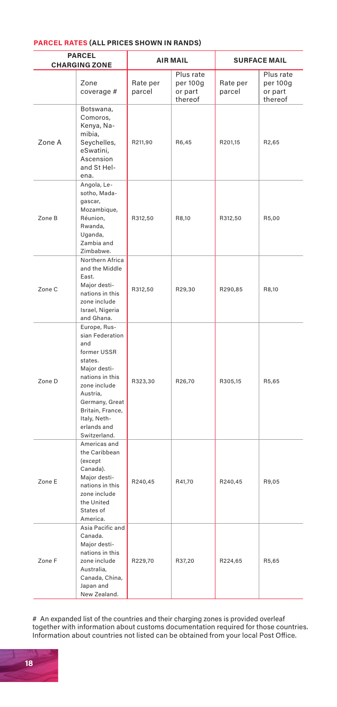#### **PARCEL RATES (ALL PRICES SHOWN IN RANDS)**

|        | <b>PARCEL</b><br><b>CHARGING ZONE</b>                                                                                                                                                                                |                    | <b>AIR MAIL</b>                             |                    | <b>SURFACE MAIL</b>                         |
|--------|----------------------------------------------------------------------------------------------------------------------------------------------------------------------------------------------------------------------|--------------------|---------------------------------------------|--------------------|---------------------------------------------|
|        | Zone<br>coverage #                                                                                                                                                                                                   | Rate per<br>parcel | Plus rate<br>per 100g<br>or part<br>thereof | Rate per<br>parcel | Plus rate<br>per 100g<br>or part<br>thereof |
| Zone A | Botswana,<br>Comoros,<br>Kenya, Na-<br>mibia,<br>Seychelles,<br>eSwatini,<br>Ascension<br>and St Hel-<br>ena.                                                                                                        | R211.90            | R6.45                                       | R201.15            | R2,65                                       |
| Zone B | Angola, Le-<br>sotho, Mada-<br>gascar,<br>Mozambique,<br>Réunion,<br>Rwanda,<br>Uganda,<br>Zambia and<br>Zimbabwe.                                                                                                   | R312,50            | R8,10                                       | R312,50            | R5,00                                       |
| Zone C | Northern Africa<br>and the Middle<br>East.<br>Major desti-<br>nations in this<br>zone include<br>Israel, Nigeria<br>and Ghana.                                                                                       | R312,50            | R29,30                                      | R290,85            | R8,10                                       |
| Zone D | Europe, Rus-<br>sian Federation<br>and<br>former USSR<br>states.<br>Maior desti-<br>nations in this<br>zone include<br>Austria,<br>Germany, Great<br>Britain, France,<br>Italy, Neth-<br>erlands and<br>Switzerland. | R323,30            | R26,70                                      | R305,15            | R5,65                                       |
| Zone E | Americas and<br>the Caribbean<br>(except<br>Canada).<br>Major desti-<br>nations in this<br>zone include<br>the United<br>States of<br>America.                                                                       | R240,45            | R41,70                                      | R240,45            | R9,05                                       |
| Zone F | Asia Pacific and<br>Canada.<br>Major desti-<br>nations in this<br>zone include<br>Australia,<br>Canada, China,<br>Japan and<br>New Zealand.                                                                          | R229,70            | R37,20                                      | R224,65            | R5,65                                       |

# An expanded list of the countries and their charging zones is provided overleaf together with information about customs documentation required for those countries. Information about countries not listed can be obtained from your local Post Office.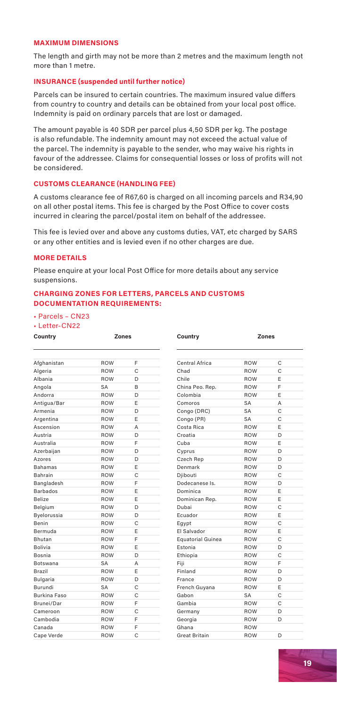#### **MAXIMUM DIMENSIONS**

The length and girth may not be more than 2 metres and the maximum length not more than 1 metre.

#### **INSURANCE (suspended until further notice)**

Parcels can be insured to certain countries. The maximum insured value differs from country to country and details can be obtained from your local post office. Indemnity is paid on ordinary parcels that are lost or damaged.

The amount payable is 40 SDR per parcel plus 4,50 SDR per kg. The postage is also refundable. The indemnity amount may not exceed the actual value of the parcel. The indemnity is payable to the sender, who may waive his rights in favour of the addressee. Claims for consequential losses or loss of profits will not be considered.

#### **CUSTOMS CLEARANCE (HANDLING FEE)**

A customs clearance fee of R67,60 is charged on all incoming parcels and R34,90 on all other postal items. This fee is charged by the Post Office to cover costs incurred in clearing the parcel/postal item on behalf of the addressee.

This fee is levied over and above any customs duties, VAT, etc charged by SARS or any other entities and is levied even if no other charges are due.

#### **MORE DETAILS**

Please enquire at your local Post Office for more details about any service suspensions.

#### **CHARGING ZONES FOR LETTERS, PARCELS AND CUSTOMS DOCUMENTATION REQUIREMENTS:**

• Parcels – CN23

• Letter-CN22

| Country         | Zones      |              | Country              | Zones      |   |
|-----------------|------------|--------------|----------------------|------------|---|
|                 |            |              |                      |            |   |
| Afghanistan     | <b>ROW</b> | F            | Central Africa       | ROW        | C |
| Algeria         | <b>ROW</b> | Ċ            | Chad                 | <b>ROW</b> | Ċ |
| Albania         | <b>ROW</b> | D            | Chile                | ROW        | F |
| Angola          | SA         | <sub>R</sub> | China Peo. Rep.      | ROW        | E |
| Andorra         | <b>ROW</b> | D            | Colombia             | <b>ROW</b> | F |
| Antigua/Bar     | <b>ROW</b> | F            | Comoros              | <b>SA</b>  | А |
| Armenia         | <b>ROW</b> | D            | Congo (DRC)          | SA         | Ċ |
| Argentina       | <b>ROW</b> | F            | Congo (PR)           | SA         | Ċ |
| Ascension       | <b>ROW</b> | A            | Costa Rica           | <b>ROW</b> | F |
| Austria         | <b>ROW</b> | D            | Croatia              | ROW        | D |
| Australia       | <b>ROW</b> | F            | Cuba                 | ROW        | F |
| Azerbaijan      | <b>ROW</b> | D            | Cyprus               | ROW        | D |
| Azores          | <b>ROW</b> | D            | Czech Rep            | ROW        | D |
| <b>Bahamas</b>  | <b>ROW</b> | F            | Denmark              | ROW        | D |
| Bahrain         | <b>ROW</b> | Ċ            | Diibouti             | <b>ROW</b> | C |
| Bangladesh      | <b>ROW</b> | F            | Dodecanese Is.       | ROW        | D |
| <b>Barbados</b> | <b>ROW</b> | E            | Dominica             | ROW        | F |
| <b>Belize</b>   | <b>ROW</b> | F            | Dominican Rep.       | <b>ROW</b> | F |
| Belgium         | <b>ROW</b> | D            | Dubai                | <b>ROW</b> | Ċ |
| Byelorussia     | <b>ROW</b> | D            | Ecuador              | ROW        | F |
| <b>Benin</b>    | <b>ROW</b> | Ċ            | Egypt                | <b>ROW</b> | Ċ |
| Bermuda         | <b>ROW</b> | F            | <b>FI Salvador</b>   | ROW        | F |
| <b>Bhutan</b>   | <b>ROW</b> | F            | Equatorial Guinea    | ROW        | Ċ |
| <b>Bolivia</b>  | <b>ROW</b> | E            | Estonia              | ROW        | D |
| Bosnia          | <b>ROW</b> | D            | Ethiopia             | ROW        | Ċ |
| <b>Botswana</b> | SA         | A            | Fiii                 | ROW        | F |
| Brazil          | <b>ROW</b> | F            | Finland              | ROW        | D |
| Bulgaria        | <b>ROW</b> | D            | France               | ROW        | D |
| <b>Burundi</b>  | SA         | Ċ            | French Guyana        | <b>ROW</b> | F |
| Burkina Faso    | <b>ROW</b> | Ċ            | Gabon                | <b>SA</b>  | C |
| Brunei/Dar      | <b>ROW</b> | F            | Gambia               | ROW        | C |
| Cameroon        | <b>ROW</b> | Ċ            | Germany              | ROW        | D |
| Cambodia        | <b>ROW</b> | Ė            | Georgia              | ROW        | D |
| Canada          | ROW        | F            | Ghana                | <b>ROW</b> |   |
| Cape Verde      | <b>ROW</b> | Ċ            | <b>Great Britain</b> | <b>ROW</b> | D |

**19**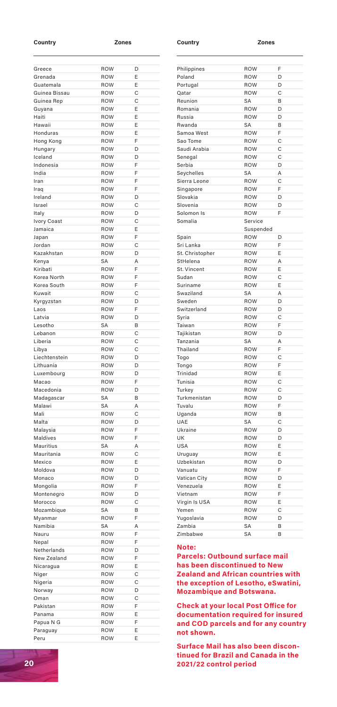#### **Country Zones Country Zones**

| Greece                                                                                                                                                                                                                                                                                                                                             | ROW               | D             |
|----------------------------------------------------------------------------------------------------------------------------------------------------------------------------------------------------------------------------------------------------------------------------------------------------------------------------------------------------|-------------------|---------------|
| Grenada                                                                                                                                                                                                                                                                                                                                            | ROW               | E             |
| Guatemala                                                                                                                                                                                                                                                                                                                                          | <b>ROW</b>        | F             |
| Guinea Bissau                                                                                                                                                                                                                                                                                                                                      | ROW               | Ċ             |
| Guinea Rep                                                                                                                                                                                                                                                                                                                                         | <b>ROW</b>        | Ċ             |
| Guyana                                                                                                                                                                                                                                                                                                                                             | ROW               | F             |
| Haiti                                                                                                                                                                                                                                                                                                                                              | ROW               | F             |
| Hawaii                                                                                                                                                                                                                                                                                                                                             | ROW               | F             |
| Honduras                                                                                                                                                                                                                                                                                                                                           | ROW               | E             |
| Hong Kong                                                                                                                                                                                                                                                                                                                                          | ROW               | F             |
| Hungary                                                                                                                                                                                                                                                                                                                                            | <b>ROW</b>        | D             |
| Iceland                                                                                                                                                                                                                                                                                                                                            | <b>ROW</b>        | D             |
| Indonesia                                                                                                                                                                                                                                                                                                                                          | <b>ROW</b>        | Ė             |
| India                                                                                                                                                                                                                                                                                                                                              | <b>ROW</b>        | F             |
| Iran                                                                                                                                                                                                                                                                                                                                               | <b>ROW</b>        | Ė             |
| Iraq                                                                                                                                                                                                                                                                                                                                               | <b>ROW</b>        | Ė             |
| Ireland                                                                                                                                                                                                                                                                                                                                            | ROW               | D             |
| Israel                                                                                                                                                                                                                                                                                                                                             | ROW               | C             |
| Italy                                                                                                                                                                                                                                                                                                                                              | ROW               | D             |
| Ivory Coast                                                                                                                                                                                                                                                                                                                                        | <b>ROW</b>        | Ċ             |
| Jamaica                                                                                                                                                                                                                                                                                                                                            | ROW               | E             |
| Japan                                                                                                                                                                                                                                                                                                                                              | <b>ROW</b>        | F             |
| Jordan                                                                                                                                                                                                                                                                                                                                             | <b>ROW</b>        | Ċ             |
| Kazakhstan                                                                                                                                                                                                                                                                                                                                         | ROW               | D             |
| Kenya                                                                                                                                                                                                                                                                                                                                              | SA                | A             |
| Kiribati                                                                                                                                                                                                                                                                                                                                           | ROW               | F             |
| Korea North                                                                                                                                                                                                                                                                                                                                        | ROW               | F             |
| Korea South                                                                                                                                                                                                                                                                                                                                        | <b>ROW</b>        | Ë             |
| Kuwait                                                                                                                                                                                                                                                                                                                                             | <b>ROW</b>        | Ċ             |
| Kyrgyzstan                                                                                                                                                                                                                                                                                                                                         | <b>ROW</b>        | D             |
| Laos                                                                                                                                                                                                                                                                                                                                               | <b>ROW</b>        | Ë             |
| Latvia                                                                                                                                                                                                                                                                                                                                             | <b>ROW</b>        | D             |
| Lesotho                                                                                                                                                                                                                                                                                                                                            | SA                | B             |
| Lebanon                                                                                                                                                                                                                                                                                                                                            | <b>ROW</b>        | C             |
| Liberia                                                                                                                                                                                                                                                                                                                                            | ROW<br><b>ROW</b> | C             |
| Libya                                                                                                                                                                                                                                                                                                                                              | <b>ROW</b>        | Ċ<br>D        |
| Liechtenstein<br>I ithuania                                                                                                                                                                                                                                                                                                                        | ROW               | D             |
|                                                                                                                                                                                                                                                                                                                                                    | <b>ROW</b>        | D             |
| Luxembourg<br>Macao                                                                                                                                                                                                                                                                                                                                | ROW               | F             |
| Macedonia                                                                                                                                                                                                                                                                                                                                          | ROW               | D             |
|                                                                                                                                                                                                                                                                                                                                                    |                   |               |
|                                                                                                                                                                                                                                                                                                                                                    |                   |               |
|                                                                                                                                                                                                                                                                                                                                                    | <b>SA</b>         | R             |
|                                                                                                                                                                                                                                                                                                                                                    | SA                | A             |
|                                                                                                                                                                                                                                                                                                                                                    | ROW               | C             |
|                                                                                                                                                                                                                                                                                                                                                    | <b>ROW</b>        | D             |
|                                                                                                                                                                                                                                                                                                                                                    | <b>ROW</b>        | F             |
|                                                                                                                                                                                                                                                                                                                                                    | <b>ROW</b>        | Ë             |
|                                                                                                                                                                                                                                                                                                                                                    | SA<br><b>ROW</b>  | A<br>Ċ        |
|                                                                                                                                                                                                                                                                                                                                                    | <b>ROW</b>        | F             |
|                                                                                                                                                                                                                                                                                                                                                    | ROW               | D             |
|                                                                                                                                                                                                                                                                                                                                                    | ROW               | D             |
|                                                                                                                                                                                                                                                                                                                                                    | <b>ROW</b>        | F             |
|                                                                                                                                                                                                                                                                                                                                                    |                   | D             |
|                                                                                                                                                                                                                                                                                                                                                    | ROW<br><b>ROW</b> | Ċ             |
|                                                                                                                                                                                                                                                                                                                                                    | SA                | B             |
|                                                                                                                                                                                                                                                                                                                                                    | <b>ROW</b>        | F             |
|                                                                                                                                                                                                                                                                                                                                                    | SA                |               |
|                                                                                                                                                                                                                                                                                                                                                    | <b>ROW</b>        | A<br>F        |
|                                                                                                                                                                                                                                                                                                                                                    | ROW               | F             |
|                                                                                                                                                                                                                                                                                                                                                    | ROW               | D             |
|                                                                                                                                                                                                                                                                                                                                                    | <b>ROW</b>        | F             |
|                                                                                                                                                                                                                                                                                                                                                    | ROW               | E             |
|                                                                                                                                                                                                                                                                                                                                                    | <b>ROW</b>        | Ċ             |
|                                                                                                                                                                                                                                                                                                                                                    | <b>ROW</b>        | $\mathcal{C}$ |
|                                                                                                                                                                                                                                                                                                                                                    | ROW               | D             |
|                                                                                                                                                                                                                                                                                                                                                    | ROW               | C             |
|                                                                                                                                                                                                                                                                                                                                                    | ROW               | F             |
|                                                                                                                                                                                                                                                                                                                                                    | ROW               | E             |
|                                                                                                                                                                                                                                                                                                                                                    | <b>ROW</b>        | F             |
| Madagascar<br>Malawi<br>Mali<br>Malta<br>Malaysia<br>Maldives<br>Mauritius<br>Mauritania<br>Mexico<br>Moldova<br>Monaco<br>Mongolia<br>Montenegro<br>Morocco<br>Mozambique<br>Myanmar<br>Namibia<br>Nauru<br>Nepal<br>Netherlands<br>New Zealand<br>Nicaragua<br>Niger<br>Nigeria<br>Norway<br>Oman<br>Pakistan<br>Panama<br>Papua N G<br>Paraguay | ROW               | F             |

| Philippines     | ROW        | F |
|-----------------|------------|---|
| Poland          | ROW        | D |
| Portugal        | ROW        | D |
| Oatar           | ROW        | Ċ |
| Reunion         | SA         | B |
| Romania         | ROW        | D |
| Russia          | ROW        | D |
| Rwanda          | SA         | B |
| Samoa West      | ROW        | F |
| Sao Tome        | ROW        | C |
| Saudi Arabia    | <b>ROW</b> | Ċ |
| Senegal         | ROW        | Ċ |
| Serbia          | ROW        | D |
| Seychelles      | SA         | A |
| Sierra Leone    | ROW        | Ċ |
| Singapore       | ROW        | F |
| Slovakia        | ROW        | D |
| Slovenia        | ROW        | D |
| Solomon Is      | ROW        | F |
| Somalia         | Service    |   |
|                 | Suspended  |   |
| Spain           | ROW        | D |
| Sri Lanka       | ROW        | F |
| St. Christopher | ROW        | E |
| StHelena        | ROW        | A |
| St. Vincent     | ROW        | E |
| Sudan           | ROW        | Ċ |
| Suriname        | ROW        | E |
| Swaziland       | SA         | A |
| Sweden          | ROW        | D |
| Switzerland     | <b>ROW</b> | D |
| Syria           | ROW        | Ċ |
| Taiwan          | ROW        | F |
| Taiikistan      | ROW        | D |
| Tanzania        | SA         | A |
| Thailand        | ROW        | F |
| Togo            | ROW        | С |
| Tongo           | ROW        | Ė |
| Trinidad        | ROW        | E |
| Tunisia         | ROW        | Ċ |
| Turkey          | ROW        | Ċ |
| Turkmenistan    | ROW        | D |
| Tuvalu          | ROW        | F |
| Uganda          | ROW        | B |
| UAE             | SA         | Ċ |
| Ukraine         | ROW        | D |
| UK              |            | D |
| USA             | ROW        | E |
|                 | ROW        | F |
| Uruguay         | ROW        | D |
| Uzbekistan      | ROW<br>ROW | F |
| Vanuatu         |            |   |
| Vatican City    | ROW        | D |
| Venezuela       | ROW        | E |
| Vietnam         | ROW        | F |
| Virgin Is USA   | ROW        | E |
| Yemen           | ROW        | Ċ |
| Yugoslavia      | ROW        | D |
| Zambia          | SA         | B |
| Zimbabwe        | SA         | B |
|                 |            |   |

#### **Note:**

**Parcels: Outbound surface mail has been discontinued to New Zealand and African countries with the exception of Lesotho, eSwatini, Mozambique and Botswana.**

**Check at your local Post Office for documentation required for insured and COD parcels and for any country not shown.**

**Surface Mail has also been discontinued for Brazil and Canada in the 2021/22 control period**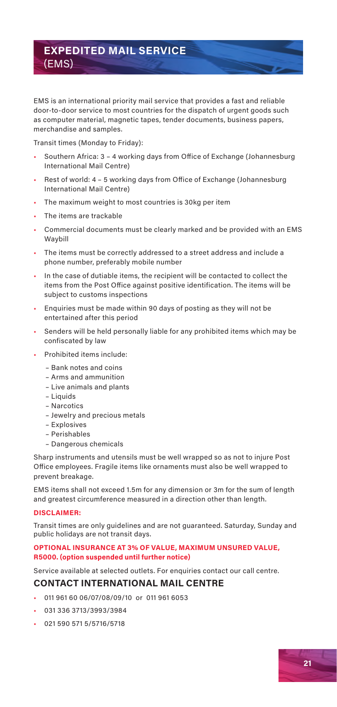### **EXPEDITED MAIL SERVICE** (EMS)

EMS is an international priority mail service that provides a fast and reliable door-to-door service to most countries for the dispatch of urgent goods such as computer material, magnetic tapes, tender documents, business papers, merchandise and samples.

Transit times (Monday to Friday):

- Southern Africa: 3 4 working days from Office of Exchange (Johannesburg International Mail Centre)
- Rest of world: 4 5 working days from Office of Exchange (Johannesburg International Mail Centre)
- The maximum weight to most countries is 30kg per item
- The items are trackable
- Commercial documents must be clearly marked and be provided with an EMS Waybill
- The items must be correctly addressed to a street address and include a phone number, preferably mobile number
- In the case of dutiable items, the recipient will be contacted to collect the items from the Post Office against positive identification. The items will be subject to customs inspections
- Enquiries must be made within 90 days of posting as they will not be entertained after this period
- Senders will be held personally liable for any prohibited items which may be confiscated by law
- Prohibited items include:
	- Bank notes and coins
	- Arms and ammunition
	- Live animals and plants
	- Liquids
	- Narcotics
	- Jewelry and precious metals
	- Explosives
	- Perishables
	- Dangerous chemicals

Sharp instruments and utensils must be well wrapped so as not to injure Post Office employees. Fragile items like ornaments must also be well wrapped to prevent breakage.

EMS items shall not exceed 1.5m for any dimension or 3m for the sum of length and greatest circumference measured in a direction other than length.

#### **DISCLAIMER:**

Transit times are only guidelines and are not guaranteed. Saturday, Sunday and public holidays are not transit days.

#### **OPTIONAL INSURANCE AT 3% OF VALUE, MAXIMUM UNSURED VALUE, R5000. (option suspended until further notice)**

Service available at selected outlets. For enquiries contact our call centre.

#### **CONTACT INTERNATIONAL MAIL CENTRE**

- 011 961 60 06/07/08/09/10 or 011 961 6053
- 031 336 3713/3993/3984
- 021 590 571 5/5716/5718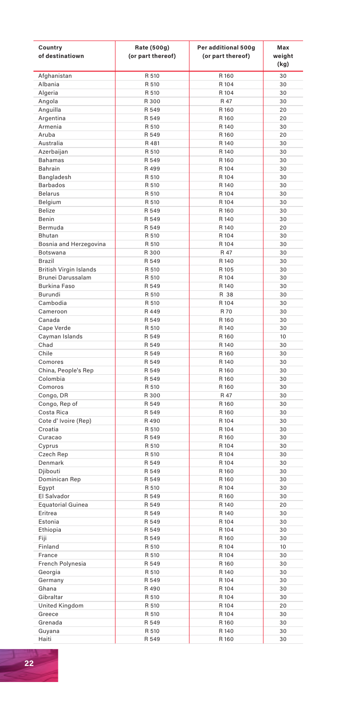| Country<br>of destinatiown     | Rate (500g)<br>(or part thereof) | Per additional 500g<br>(or part thereof) | Max<br>weight<br>(kg) |
|--------------------------------|----------------------------------|------------------------------------------|-----------------------|
| Afghanistan                    | R 510                            | R 160                                    | 30                    |
| Albania                        | R 510                            | R 104                                    | 30                    |
| Algeria                        | R 510                            | R 104                                    | 30                    |
| Angola                         | R 300                            | R 47                                     | 30                    |
| Anguilla                       | R 549                            | R 160                                    | 20                    |
| Argentina                      | R 549<br>R 510                   | R 160<br>R 140                           | 20<br>30              |
| Armenia<br>Aruba               | R 549                            | R 160                                    | 20                    |
| Australia                      | R 481                            | R 140                                    | 30                    |
| Azerbaijan                     | R 510                            | R 140                                    | 30                    |
| Bahamas                        | R 549                            | R 160                                    | 30                    |
| Bahrain                        | R 499                            | R 104                                    | 30                    |
| Bangladesh                     | <b>B 510</b>                     | R 104                                    | 30                    |
| <b>Barbados</b>                | R 510                            | R 140                                    | 30                    |
| <b>Belarus</b>                 | R 510                            | R 104                                    | 30                    |
| Belgium                        | R 510                            | R 104                                    | 30                    |
| Belize<br>Benin                | R 549<br>R 549                   | R 160                                    | 30                    |
| Bermuda                        | R 549                            | R 140<br>R 140                           | 30<br>20              |
| Bhutan                         | R 510                            | R 104                                    | 30                    |
| Bosnia and Herzegovina         | R 510                            | R 104                                    | 30                    |
| Botswana                       | R 300                            | R 47                                     | 30                    |
| Brazil                         | R 549                            | R 140                                    | 30                    |
| <b>British Virgin Islands</b>  | R 510                            | R 105                                    | 30                    |
| Brunei Darussalam              | R 510                            | R 104                                    | 30                    |
| Burkina Faso                   | R 549                            | R 140                                    | 30                    |
| Burundi                        | R 510                            | R 38                                     | 30                    |
| Cambodia                       | R 510                            | R 104                                    | 30                    |
| Cameroon                       | R 449                            | R 70                                     | 30                    |
| Canada                         | R 549<br><b>B 510</b>            | R 160<br>R 140                           | 30<br>30              |
| Cape Verde<br>Cayman Islands   | R 549                            | R 160                                    | 10                    |
| Chad                           | R 549                            | R 140                                    | 30                    |
| Chile                          | R 549                            | R 160                                    | 30                    |
| Comores                        | R 549                            | R 140                                    | 30                    |
| China, People's Rep            | R 549                            | R 160                                    | 30                    |
| Colombia                       | R 549                            | R 160                                    | 30                    |
| Comoros                        | R 510                            | R 160                                    | 30                    |
| Congo, DR                      | R 300                            | R 47                                     | 30                    |
| Congo, Rep of                  | R 549                            | R 160                                    | 30                    |
| Costa Rica                     | R 549                            | R 160                                    | 30                    |
| Cote d'Ivoire (Rep)<br>Croatia | R490<br>R 510                    | R 104<br>R 104                           | 30<br>30              |
| Curacao                        | R 549                            | R 160                                    | 30                    |
| Cyprus                         | R 510                            | R 104                                    | 30                    |
| Czech Rep                      | R 510                            | R 104                                    | 30                    |
| Denmark                        | R 549                            | R 104                                    | 30                    |
| Djibouti                       | R 549                            | R 160                                    | 30                    |
| Dominican Rep                  | R 549                            | R 160                                    | 30                    |
| Egypt                          | R 510                            | R 104                                    | 30                    |
| El Salvador                    | R 549                            | R 160                                    | 30                    |
| <b>Equatorial Guinea</b>       | R 549                            | R 140                                    | 20                    |
| Eritrea<br>Estonia             | R 549<br>R 549                   | R 140<br>R 104                           | 30<br>30              |
| Ethiopia                       | R 549                            | R 104                                    | 30                    |
| Fiji                           | R 549                            | R 160                                    | 30                    |
| Finland                        | R 510                            | R 104                                    | 10                    |
| France                         | R 510                            | R 104                                    | 30                    |
| French Polynesia               | R 549                            | R 160                                    | 30                    |
| Georgia                        | R 510                            | R 140                                    | 30                    |
| Germany                        | R 549                            | R 104                                    | 30                    |
| Ghana                          | R 490                            | R 104                                    | 30                    |
| Gibraltar                      | R 510                            | R 104                                    | 30                    |
| United Kingdom                 | R 510                            | R 104                                    | 20                    |
| Greece                         | R 510                            | R 104                                    | 30                    |
| Grenada                        | R 549<br>R 510                   | R 160<br>R 140                           | 30<br>30              |
| Guyana<br>Haiti                | R 549                            | R 160                                    | 30                    |
|                                |                                  |                                          |                       |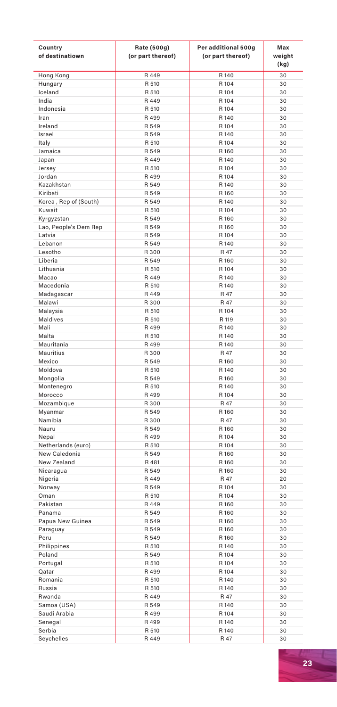| Country<br>of destinatiown   | Rate (500g)<br>(or part thereof) | Per additional 500g<br>(or part thereof) | Max<br>weight<br>(kg) |
|------------------------------|----------------------------------|------------------------------------------|-----------------------|
| Hong Kong                    | R 449                            | R 140                                    | 30                    |
| Hungary                      | R 510                            | R 104                                    | 30                    |
| Iceland                      | R 510                            | R 104                                    | 30                    |
| India                        | R 449                            | R 104                                    | 30                    |
| Indonesia<br>Iran            | R 510<br>R 499                   | R 104<br>R 140                           | 30<br>30              |
| Ireland                      | R 549                            | R 104                                    | 30                    |
| Israel                       | R 549                            | R 140                                    | 30                    |
| Italy                        | R 510                            | R 104                                    | 30                    |
| Jamaica                      | R 549                            | R 160                                    | 30                    |
| Japan                        | R 449                            | R 140                                    | 30                    |
| Jersey                       | R 510                            | R 104                                    | 30                    |
| Jordan                       | R 499                            | R 104                                    | 30                    |
| Kazakhstan<br>Kiribati       | R 549<br>R 549                   | R 140<br>R 160                           | 30<br>30              |
| Korea, Rep of (South)        | R 549                            | R 140                                    | 30                    |
| Kuwait                       | R 510                            | R 104                                    | 30                    |
| Kyrgyzstan                   | R 549                            | R 160                                    | 30                    |
| Lao, People's Dem Rep        | R 549                            | R 160                                    | 30                    |
| Latvia                       | R 549                            | R 104                                    | 30                    |
| Lebanon                      | R 549                            | R 140                                    | 30                    |
| Lesotho                      | R 300                            | R 47                                     | 30                    |
| Liberia                      | R 549                            | R 160                                    | 30                    |
| Lithuania                    | R 510                            | R 104                                    | 30                    |
| Macao<br>Macedonia           | R 449<br>R 510                   | R 140<br>R 140                           | 30<br>30              |
| Madagascar                   | R 449                            | R 47                                     | 30                    |
| Malawi                       | R 300                            | <b>R</b> 47                              | 30                    |
| Malaysia                     | R 510                            | R 104                                    | 30                    |
| Maldives                     | R 510                            | R 119                                    | 30                    |
| Mali                         | R 499                            | R 140                                    | 30                    |
| Malta                        | R 510                            | R 140                                    | 30                    |
| Mauritania                   | R 499                            | R 140                                    | 30                    |
| Mauritius                    | R 300                            | R 47                                     | 30                    |
| Mexico<br>Moldova            | R 549<br>R 510                   | R 160<br>R 140                           | 30<br>30              |
| Mongolia                     | R 549                            | R 160                                    | 30                    |
| Montenegro                   | R 510                            | R 140                                    | 30                    |
| Morocco                      | R 499                            | R 104                                    | 30                    |
| Mozambique                   | R 300                            | R 47                                     | 30                    |
| Myanmar                      | R 549                            | R 160                                    | 30                    |
| Namibia                      | R 300                            | R 47                                     | 30                    |
| Nauru                        | R 549                            | R 160                                    | 30                    |
| Nepal<br>Netherlands (euro)  | R 499<br>R 510                   | R 104<br>R 104                           | 30<br>30              |
| New Caledonia                | R 549                            | R 160                                    | 30                    |
| New Zealand                  | R 481                            | R 160                                    | 30                    |
| Nicaragua                    | R 549                            | R 160                                    | 30                    |
| Nigeria                      | R 449                            | R 47                                     | 20                    |
| Norway                       | R 549                            | R 104                                    | 30                    |
| Oman                         | <b>B 510</b>                     | R 104                                    | 30                    |
| Pakistan                     | R 449                            | R 160                                    | 30                    |
| Panama                       | R 549                            | R 160                                    | 30                    |
| Papua New Guinea<br>Paraguay | R 549<br>R 549                   | R 160<br>R 160                           | 30<br>30              |
| Peru                         | R 549                            | R 160                                    | 30                    |
| Philippines                  | R 510                            | R 140                                    | 30                    |
| Poland                       | R 549                            | R 104                                    | 30                    |
| Portugal                     | R 510                            | R 104                                    | 30                    |
| Qatar                        | R 499                            | R 104                                    | 30                    |
| Romania                      | R 510                            | R 140                                    | 30                    |
| Russia                       | R 510                            | R 140                                    | 30                    |
| Rwanda                       | R 449<br>R 549                   | R 47<br>R 140                            | 30<br>30              |
| Samoa (USA)<br>Saudi Arabia  | R 499                            | R 104                                    | 30                    |
| Senegal                      | R 499                            | R 140                                    | 30                    |
| Serbia                       | R 510                            | R 140                                    | 30                    |
| Seychelles                   | R 449                            | R 47                                     | 30                    |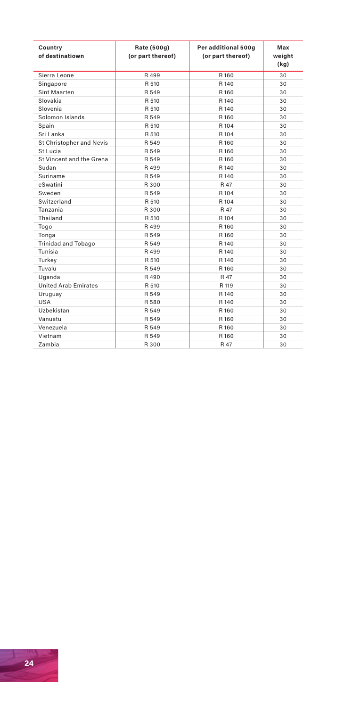| Country<br>of destinatiown  | Rate (500g)<br>(or part thereof) | Per additional 500g<br>(or part thereof) | Max<br>weight<br>(kq) |
|-----------------------------|----------------------------------|------------------------------------------|-----------------------|
| Sierra Leone                | R 499                            | R 160                                    | 30                    |
| Singapore                   | R 510                            | R 140                                    | 30                    |
| Sint Maarten                | R 549                            | R 160                                    | 30                    |
| Slovakia                    | R 510                            | R 140                                    | 30                    |
| Slovenia                    | R 510                            | R 140                                    | 30                    |
| Solomon Islands             | R 549                            | R 160                                    | 30                    |
| Spain                       | R 510                            | R 104                                    | 30                    |
| Sri Lanka                   | R 510                            | R 104                                    | 30                    |
| St Christopher and Nevis    | R 549                            | R 160                                    | 30                    |
| St Lucia                    | R 549                            | R 160                                    | 30                    |
| St Vincent and the Grena    | R 549                            | R 160                                    | 30                    |
| Sudan                       | R 499                            | R 140                                    | 30                    |
| Suriname                    | R 549                            | R 140                                    | 30                    |
| eSwatini                    | R 300                            | R 47                                     | 30                    |
| Sweden                      | R 549                            | R 104                                    | 30                    |
| Switzerland                 | R 510                            | R 104                                    | 30                    |
| Tanzania                    | R 300                            | R 47                                     | 30                    |
| Thailand                    | R 510                            | R 104                                    | 30                    |
| Togo                        | R 499                            | R 160                                    | 30                    |
| Tonga                       | R 549                            | R 160                                    | 30                    |
| <b>Trinidad and Tobago</b>  | R 549                            | R 140                                    | 30                    |
| Tunisia                     | R 499                            | R 140                                    | 30                    |
| Turkey                      | R 510                            | R 140                                    | 30                    |
| Tuvalu                      | R 549                            | R 160                                    | 30                    |
| Uganda                      | R490                             | R 47                                     | 30                    |
| <b>United Arab Emirates</b> | R 510                            | R 119                                    | 30                    |
| Uruguay                     | R 549                            | R 140                                    | 30                    |
| USA                         | R 580                            | R 140                                    | 30                    |
| Uzbekistan                  | R 549                            | R 160                                    | 30                    |
| Vanuatu                     | R 549                            | R 160                                    | 30                    |
| Venezuela                   | R 549                            | R 160                                    | 30                    |
| Vietnam                     | R 549                            | R 160                                    | 30                    |
| Zambia                      | R 300                            | R 47                                     | 30                    |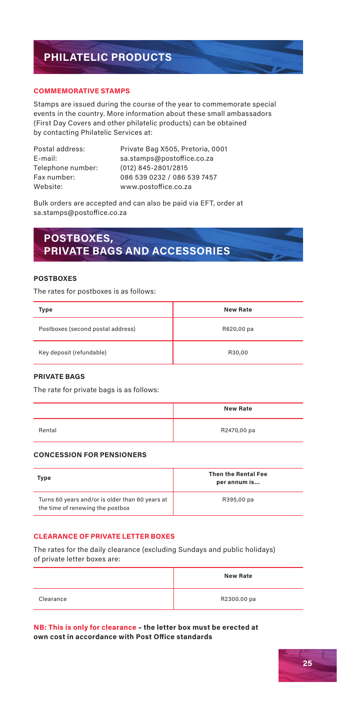## **PHILATELIC PRODUCTS**

#### **COMMEMORATIVE STAMPS**

Stamps are issued during the course of the year to commemorate special events in the country. More information about these small ambassadors (First Day Covers and other philatelic products) can be obtained by contacting Philatelic Services at:

| Postal address:   |
|-------------------|
| E-mail:           |
| Telephone number: |
| Fax number:       |
| Website:          |

Private Bag X505, Pretoria, 0001 sa.stamps@postoffice.co.za  $(012)$  845-2801/2815 086 539 0232 / 086 539 7457 www.postoffice.co.za

Bulk orders are accepted and can also be paid via EFT, order at sa.stamps@postoffice.co.za

## **POSTBOXES, PRIVATE BAGS AND ACCESSORIES**

#### **POSTBOXES**

The rates for postboxes is as follows:

| Type                              | <b>New Rate</b> |
|-----------------------------------|-----------------|
| Postboxes (second postal address) | R620,00 pa      |
| Key deposit (refundable)          | R30.00          |

#### **PRIVATE BAGS**

The rate for private bags is as follows:

|        | <b>New Rate</b> |
|--------|-----------------|
| Rental | R2470,00 pa     |

#### **CONCESSION FOR PENSIONERS**

| Type                                                                                | <b>Then the Rental Fee</b><br>per annum is |
|-------------------------------------------------------------------------------------|--------------------------------------------|
| Turns 60 years and/or is older than 60 years at<br>the time of renewing the postbox | R395.00 pa                                 |

#### **CLEARANCE OF PRIVATE LETTER BOXES**

The rates for the daily clearance (excluding Sundays and public holidays) of private letter boxes are:

|           | <b>New Rate</b> |
|-----------|-----------------|
| Clearance | R2300.00 pa     |

**NB: This is only for clearance – the letter box must be erected at own cost in accordance with Post Office standards**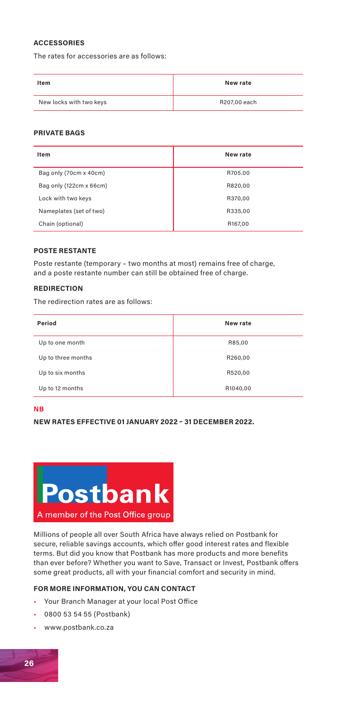#### **ACCESSORIES**

The rates for accessories are as follows:

| Item                    | New rate     |
|-------------------------|--------------|
| New locks with two keys | R207,00 each |

#### **PRIVATE BAGS**

| Item                    | New rate |
|-------------------------|----------|
| Bag only (70cm x 40cm)  | R705.00  |
| Bag only (122cm x 66cm) | R820.00  |
| Lock with two keys      | R370.00  |
| Nameplates (set of two) | R335,00  |
| Chain (optional)        | R167,00  |

#### **POSTE RESTANTE**

Poste restante (temporary – two months at most) remains free of charge, and a poste restante number can still be obtained free of charge.

#### **REDIRECTION**

The redirection rates are as follows:

| Period             | New rate |
|--------------------|----------|
| Up to one month    | R85,00   |
| Up to three months | R260,00  |
| Up to six months   | R520,00  |
| Up to 12 months    | R1040,00 |

#### **NB**

**NEW RATES EFFECTIVE 01 JANUARY 2022 – 31 DECEMBER 2022.**



Millions of people all over South Africa have always relied on Postbank for secure, reliable savings accounts, which offer good interest rates and flexible terms. But did you know that Postbank has more products and more benefits than ever before? Whether you want to Save, Transact or Invest, Postbank offers some great products, all with your financial comfort and security in mind.

#### **FOR MORE INFORMATION, YOU CAN CONTACT**

- Your Branch Manager at your local Post Office
- 0800 53 54 55 (Postbank)
- www.postbank.co.za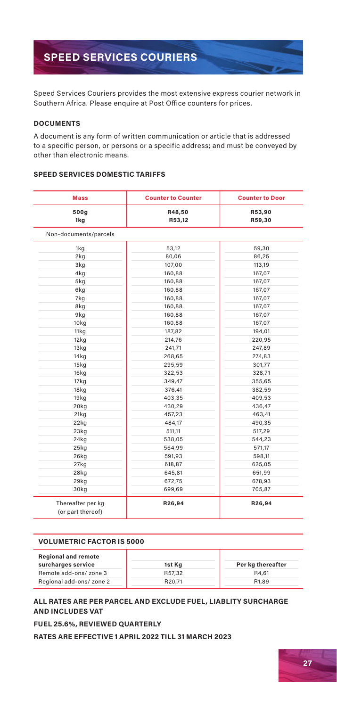## **SPEED SERVICES COURIERS**

Speed Services Couriers provides the most extensive express courier network in Southern Africa. Please enquire at Post Office counters for prices.

#### **DOCUMENTS**

A document is any form of written communication or article that is addressed to a specific person, or persons or a specific address; and must be conveyed by other than electronic means.

#### **SPEED SERVICES DOMESTIC TARIFFS**

| <b>Mass</b>                            | <b>Counter to Counter</b> | <b>Counter to Door</b> |  |
|----------------------------------------|---------------------------|------------------------|--|
| 500g<br>1kg                            | R48,50<br>R53,12          | R53,90<br>R59,30       |  |
| Non-documents/parcels                  |                           |                        |  |
| 1kg                                    | 53,12                     | 59,30                  |  |
| 2kg                                    | 80,06                     | 86,25                  |  |
| 3kg                                    | 107,00                    | 113,19                 |  |
| 4kg                                    | 160,88                    | 167,07                 |  |
| 5kg                                    | 160,88                    | 167,07                 |  |
| 6kg                                    | 160,88                    | 167,07                 |  |
| 7kg                                    | 160,88                    | 167,07                 |  |
| 8kg                                    | 160,88                    | 167,07                 |  |
| 9kg                                    | 160,88                    | 167,07                 |  |
| 10 <sub>kq</sub>                       | 160,88                    | 167,07                 |  |
| 11kg                                   | 187,82                    | 194,01                 |  |
| 12kg                                   | 214.76                    | 220,95                 |  |
| 13kg                                   | 241,71                    | 247,89                 |  |
| 14kg                                   | 268,65                    | 274,83                 |  |
| 15kg                                   | 295,59                    | 301,77                 |  |
| 16kg                                   | 322,53                    | 328,71                 |  |
| 17kg                                   | 349,47                    | 355,65                 |  |
| 18kg                                   | 376,41                    | 382,59                 |  |
| 19kg                                   | 403,35                    | 409,53                 |  |
| 20kg                                   | 430,29                    | 436,47                 |  |
| 21kg                                   | 457,23                    | 463,41                 |  |
| 22kg                                   | 484,17                    | 490,35                 |  |
| 23kq                                   | 511,11                    | 517,29                 |  |
| 24kg                                   | 538,05                    | 544,23                 |  |
| 25kg                                   | 564,99                    | 571,17                 |  |
| 26kg                                   | 591,93                    | 598,11                 |  |
| 27kg                                   | 618,87                    | 625,05                 |  |
| 28kg                                   | 645,81                    | 651,99                 |  |
| 29kg                                   | 672,75                    | 678,93                 |  |
| 30kg                                   | 699,69                    | 705,87                 |  |
| Thereafter per kg<br>(or part thereof) | R26,94                    | R26,94                 |  |

#### **VOLUMETRIC FACTOR IS 5000**

| <b>Regional and remote</b><br>surcharges service | 1st Kg | Per kg thereafter  |
|--------------------------------------------------|--------|--------------------|
| Remote add-ons/ zone 3                           | R57.32 | R4.61              |
| Regional add-ons/ zone 2                         | R20.71 | R <sub>1</sub> ,89 |

#### **ALL RATES ARE PER PARCEL AND EXCLUDE FUEL, LIABLITY SURCHARGE AND INCLUDES VAT**

**FUEL 25.6%, REVIEWED QUARTERLY**

**RATES ARE EFFECTIVE 1 APRIL 2022 TILL 31 MARCH 2023**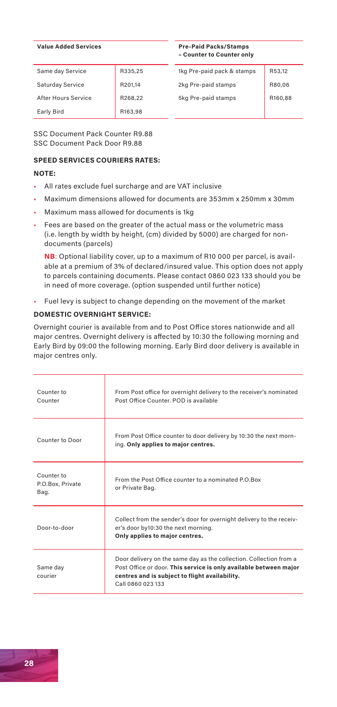#### **Value Added Services**

#### **Pre-Paid Packs/Stamps – Counter to Counter only**

| Same day Service    | R335,25 | 1kg Pre-paid pack & stamps | R53.12  |
|---------------------|---------|----------------------------|---------|
| Saturday Service    | R201,14 | 2kg Pre-paid stamps        | R80,06  |
| After Hours Service | R268.22 | 5kg Pre-paid stamps        | R160.88 |
| Early Bird          | R163.98 |                            |         |

SSC Document Pack Counter R9.88 SSC Document Pack Door R9.88

#### **SPEED SERVICES COURIERS RATES:**

#### **NOTE:**

- All rates exclude fuel surcharge and are VAT inclusive
- Maximum dimensions allowed for documents are 353mm x 250mm x 30mm
- Maximum mass allowed for documents is 1kg
- Fees are based on the greater of the actual mass or the volumetric mass (i.e. length by width by height, (cm) divided by 5000) are charged for nondocuments (parcels)

**NB**: Optional liability cover, up to a maximum of R10 000 per parcel, is available at a premium of 3% of declared/insured value. This option does not apply to parcels containing documents. Please contact 0860 023 133 should you be in need of more coverage. (option suspended until further notice)

• Fuel levy is subject to change depending on the movement of the market

#### **DOMESTIC OVERNIGHT SERVICE:**

Overnight courier is available from and to Post Office stores nationwide and all major centres. Overnight delivery is affected by 10:30 the following morning and Early Bird by 09:00 the following morning. Early Bird door delivery is available in major centres only.

| Counter to<br>Counter                  | From Post office for overnight delivery to the receiver's nominated<br>Post Office Counter, POD is available                                                                                                   |
|----------------------------------------|----------------------------------------------------------------------------------------------------------------------------------------------------------------------------------------------------------------|
| Counter to Door                        | From Post Office counter to door delivery by 10:30 the next morn-<br>ing. Only applies to major centres.                                                                                                       |
| Counter to<br>P.O.Box, Private<br>Bag. | From the Post Office counter to a nominated P.O.Box<br>or Private Bag.                                                                                                                                         |
| Door-to-door                           | Collect from the sender's door for overnight delivery to the receiv-<br>er's door by10:30 the next morning.<br>Only applies to major centres.                                                                  |
| Same day<br>courier                    | Door delivery on the same day as the collection. Collection from a<br>Post Office or door. This service is only available between major<br>centres and is subject to flight availability.<br>Call 0860 023 133 |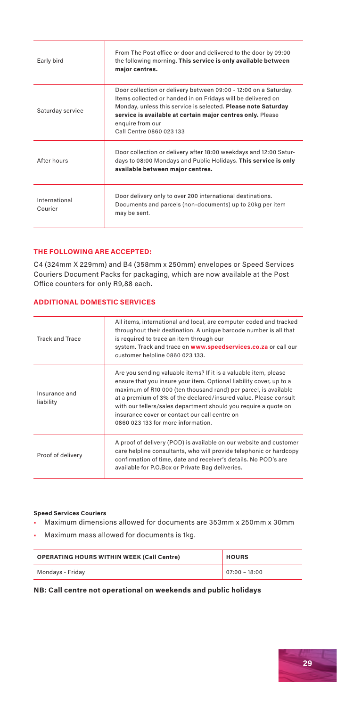| Early bird               | From The Post office or door and delivered to the door by 09:00<br>the following morning. This service is only available between<br>major centres.                                                                                                                                                              |
|--------------------------|-----------------------------------------------------------------------------------------------------------------------------------------------------------------------------------------------------------------------------------------------------------------------------------------------------------------|
| Saturday service         | Door collection or delivery between 09:00 - 12:00 on a Saturday.<br>Items collected or handed in on Fridays will be delivered on<br>Monday, unless this service is selected. Please note Saturday<br>service is available at certain major centres only. Please<br>enquire from our<br>Call Centre 0860 023 133 |
| After hours              | Door collection or delivery after 18:00 weekdays and 12:00 Satur-<br>days to 08:00 Mondays and Public Holidays. This service is only<br>available between major centres.                                                                                                                                        |
| International<br>Courier | Door delivery only to over 200 international destinations.<br>Documents and parcels (non-documents) up to 20kg per item<br>may be sent.                                                                                                                                                                         |

#### **THE FOLLOWING ARE ACCEPTED:**

C4 (324mm X 229mm) and B4 (358mm x 250mm) envelopes or Speed Services Couriers Document Packs for packaging, which are now available at the Post Office counters for only R9,88 each.

#### **ADDITIONAL DOMESTIC SERVICES**

| <b>Track and Trace</b>     | All items, international and local, are computer coded and tracked<br>throughout their destination. A unique barcode number is all that<br>is required to trace an item through our                                                                                                                                                                                                                                                      |
|----------------------------|------------------------------------------------------------------------------------------------------------------------------------------------------------------------------------------------------------------------------------------------------------------------------------------------------------------------------------------------------------------------------------------------------------------------------------------|
|                            | system. Track and trace on www.speedservices.co.za or call our<br>customer helpline 0860 023 133.                                                                                                                                                                                                                                                                                                                                        |
| Insurance and<br>liability | Are you sending valuable items? If it is a valuable item, please<br>ensure that you insure your item. Optional liability cover, up to a<br>maximum of R10 000 (ten thousand rand) per parcel, is available<br>at a premium of 3% of the declared/insured value. Please consult<br>with our tellers/sales department should you require a quote on<br>insurance cover or contact our call centre on<br>0860 023 133 for more information. |
| Proof of delivery          | A proof of delivery (POD) is available on our website and customer<br>care helpline consultants, who will provide telephonic or hardcopy<br>confirmation of time, date and receiver's details. No POD's are<br>available for P.O.Box or Private Bag deliveries.                                                                                                                                                                          |

#### **Speed Services Couriers**

- Maximum dimensions allowed for documents are 353mm x 250mm x 30mm
- Maximum mass allowed for documents is 1kg.

| <b>OPERATING HOURS WITHIN WEEK (Call Centre)</b> | <b>HOURS</b>    |
|--------------------------------------------------|-----------------|
| Mondays - Friday                                 | $07:00 - 18:00$ |

#### **NB: Call centre not operational on weekends and public holidays**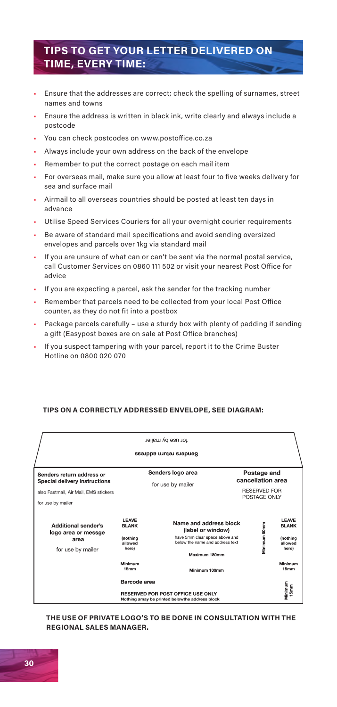## **TIPS TO GET YOUR LETTER DELIVERED ON TIME, EVERY TIME:**

- Ensure that the addresses are correct; check the spelling of surnames, street names and towns
- Ensure the address is written in black ink, write clearly and always include a postcode
- You can check postcodes on www.postoffice.co.za
- Always include your own address on the back of the envelope
- Remember to put the correct postage on each mail item
- For overseas mail, make sure you allow at least four to five weeks delivery for sea and surface mail
- Airmail to all overseas countries should be posted at least ten days in advance
- Utilise Speed Services Couriers for all your overnight courier requirements
- Be aware of standard mail specifications and avoid sending oversized envelopes and parcels over 1kg via standard mail
- If you are unsure of what can or can't be sent via the normal postal service, call Customer Services on 0860 111 502 or visit your nearest Post Office for advice
- If you are expecting a parcel, ask the sender for the tracking number
- Remember that parcels need to be collected from your local Post Office counter, as they do not fit into a postbox
- Package parcels carefully use a sturdy box with plenty of padding if sending a gift (Easypost boxes are on sale at Post Office branches)
- If you suspect tampering with your parcel, report it to the Crime Buster Hotline on 0800 020 070

#### **TIPS ON A CORRECTLY ADDRESSED ENVELOPE, SEE DIAGRAM:**

| tor use by mailer<br>Senders return address                                                                              |                                                                     |                                                                                                                                   |  |                                                                         |                                                                     |  |
|--------------------------------------------------------------------------------------------------------------------------|---------------------------------------------------------------------|-----------------------------------------------------------------------------------------------------------------------------------|--|-------------------------------------------------------------------------|---------------------------------------------------------------------|--|
| Senders return address or<br>Special delivery instructions<br>also Fastmail, Air Mail, EMS stickers<br>for use by mailer |                                                                     | Senders logo area<br>for use by mailer                                                                                            |  | Postage and<br>cancellation area<br><b>RESERVED FOR</b><br>POSTAGE ONLY |                                                                     |  |
| <b>Additional sender's</b><br>logo area or messge<br>area<br>for use by mailer                                           | <b>LEAVE</b><br><b>BLANK</b><br><b>Inothina</b><br>allowed<br>here) | Name and address block<br>(label or window)<br>have 5mm clear space above and<br>below the name and address text<br>Maximum 180mm |  | Minimum 60mm                                                            | <b>LEAVE</b><br><b>BLANK</b><br><b>Inothing</b><br>allowed<br>here) |  |
|                                                                                                                          | Minimum<br>15mm                                                     | Minimum 100mm                                                                                                                     |  |                                                                         | Minimum<br>15mm                                                     |  |
| Barcode area<br>RESERVED FOR POST OFFICE USE ONLY<br>Nothing amay be printed belowthe address block                      |                                                                     |                                                                                                                                   |  |                                                                         | Minimum<br>15mm                                                     |  |

**THE USE OF PRIVATE LOGO'S TO BE DONE IN CONSULTATION WITH THE REGIONAL SALES MANAGER.**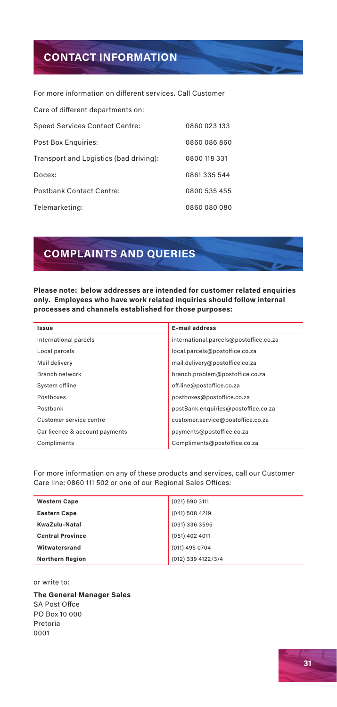## **CONTACT INFORMATION**

For more information on different services. Call Customer

| Care of different departments on:      |              |
|----------------------------------------|--------------|
| <b>Speed Services Contact Centre:</b>  | 0860 023 133 |
| Post Box Enquiries:                    | 0860 086 860 |
| Transport and Logistics (bad driving): | 0800 118 331 |
| Docex:                                 | 0861335544   |
| <b>Postbank Contact Centre:</b>        | 0800 535 455 |
| Telemarketing:                         | 0860 080 080 |

## **COMPLAINTS AND QUERIES**

**Please note: below addresses are intended for customer related enquiries only. Employees who have work related inquiries should follow internal processes and channels established for those purposes:**

| Issue                          | <b>E-mail address</b>                  |
|--------------------------------|----------------------------------------|
| International parcels          | international.parcels@postoffice.co.za |
| Local parcels                  | local.parcels@postoffice.co.za         |
| Mail delivery                  | mail.delivery@postoffice.co.za         |
| Branch network                 | branch.problem@postoffice.co.za        |
| System offline                 | off.line@postoffice.co.za              |
| Postboxes                      | postboxes@postoffice.co.za             |
| Postbank                       | postBank.enquiries@postoffice.co.za    |
| Customer service centre        | customer.service@postoffice.co.za      |
| Car licence & account payments | payments@postoffice.co.za              |
| Compliments                    | Compliments@postoffice.co.za           |

For more information on any of these products and services, call our Customer Care line: 0860 111 502 or one of our Regional Sales Offices:

| <b>Western Cape</b>     | (021) 590 3111     |
|-------------------------|--------------------|
| <b>Eastern Cape</b>     | (041) 508 4219     |
| KwaZulu-Natal           | (031) 336 3595     |
| <b>Central Province</b> | (051) 402 4011     |
| Witwatersrand           | (011) 495 0704     |
| <b>Northern Region</b>  | (012) 339 4122/3/4 |

#### or write to:

**The General Manager Sales** SA Post Offce PO Box 10 000 Pretoria 0001